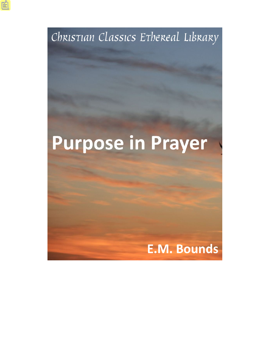

# **Purpose in Prayer**

# **E.M. Bounds**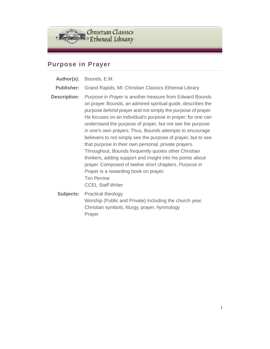

#### **Purpose in Prayer**

- **Author(s):** Bounds, E.M.
- **Publisher:** Grand Rapids, MI: Christian Classics Ethereal Library
- **Description:** *Purpose in Prayer* is another treasure from Edward Bounds on prayer. Bounds, an admired spiritual guide, describes the purpose *behind* prayer and not simply the purpose *of* prayer. He focuses on an individual's purpose in prayer; for one can understand the purpose of prayer, but not see the purpose *in* one's own prayers. Thus, Bounds attempts to encourage believers to not simply see the purpose of prayer, but to see that purpose in their own personal, private prayers. Throughout, Bounds frequently quotes other Christian thinkers, adding support and insight into his points about prayer. Composed of twelve short chapters, *Purpose in Prayer* is a rewarding book on prayer. Tim Perrine CCEL Staff Writer
	- **Subjects:** Practical theology Worship (Public and Private) Including the church year, Christian symbols, liturgy, prayer, hymnology Prayer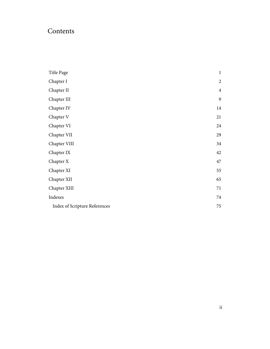### Contents

| Title Page                           | $\mathbf{1}$   |
|--------------------------------------|----------------|
| Chapter I                            | $\overline{2}$ |
| Chapter II                           | $\overline{4}$ |
| Chapter III                          | 9              |
| Chapter IV                           | 14             |
| Chapter V                            | 21             |
| Chapter VI                           | 24             |
| Chapter VII                          | 29             |
| Chapter VIII                         | 34             |
| Chapter IX                           | 42             |
| Chapter X                            | 47             |
| Chapter XI                           | 55             |
| Chapter XII                          | 65             |
| Chapter XIII                         | 71             |
| Indexes                              | 74             |
| <b>Index of Scripture References</b> | $75\,$         |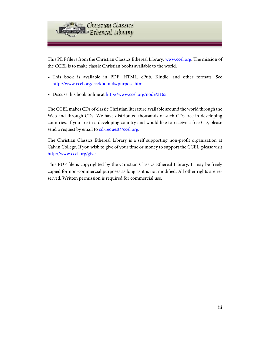

This PDF file is from the Christian Classics Ethereal Library, [www.ccel.org.](http://www.ccel.org) The mission of the CCEL is to make classic Christian books available to the world.

- This book is available in PDF, HTML, ePub, Kindle, and other formats. See <http://www.ccel.org/ccel/bounds/purpose.html>.
- Discuss this book online at [http://www.ccel.org/node/3165.](http://www.ccel.org/node/3165)

The CCEL makes CDs of classic Christian literature available around the world through the Web and through CDs. We have distributed thousands of such CDs free in developing countries. If you are in a developing country and would like to receive a free CD, please send a request by email to [cd-request@ccel.org.](mailto:cd-request@ccel.org)

The Christian Classics Ethereal Library is a self supporting non-profit organization at Calvin College. If you wish to give of your time or money to support the CCEL, please visit [http://www.ccel.org/give.](http://www.ccel.org/give)

This PDF file is copyrighted by the Christian Classics Ethereal Library. It may be freely copied for non-commercial purposes as long as it is not modified. All other rights are reserved. Written permission is required for commercial use.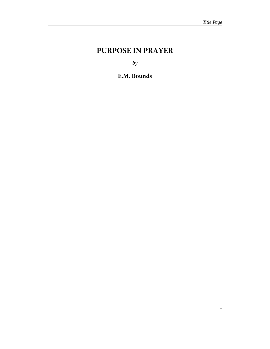## <span id="page-4-0"></span>**PURPOSE IN PRAYER**

*by*

**E.M. Bounds**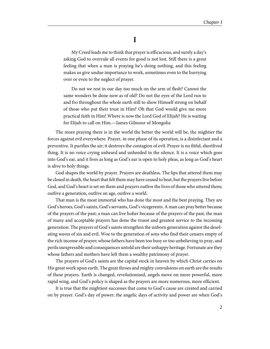**I**

<span id="page-5-0"></span>My Creed leads me to think that prayer is efficacious, and surely a day's asking God to overrule all events for good is not lost. Still there is a great feeling that when a man is praying he's doing nothing, and this feeling makes us give undue importance to work, sometimes even to the hurrying over or even to the neglect of prayer.

Do not we rest in our day too much on the arm of flesh? Cannot the same wonders be done now as of old? Do not the eyes of the Lord run to and fro throughout the whole earth still to show Himself strong on behalf of those who put their trust in Him? Oh that God would give me more practical faith in Him! Where is now the Lord God of Elijah? He is waiting for Elijah to call on Him.—James Gilmour of Mongolia

The more praying there is in the world the better the world will be, the mightier the forces against evil everywhere. Prayer, in one phase of its operation, is a disinfectant and a preventive. It purifies the air; it destroys the contagion of evil. Prayer is no fitful, shortlived thing. It is no voice crying unheard and unheeded in the silence. It is a voice which goes into God's ear, and it lives as long as God's ear is open to holy pleas, as long as God's heart is alive to holy things.

God shapes the world by prayer. Prayers are deathless. The lips that uttered them may be closed in death, the heart that felt them may have ceased to beat, but the prayers live before God, and God's heart is set on them and prayers outlive the lives of those who uttered them; outlive a generation, outlive an age, outlive a world.

That man is the most immortal who has done the most and the best praying. They are God's heroes, God's saints, God's servants, God's vicegerents. A man can pray better because of the prayers of the past; a man can live holier because of the prayers of the past, the man of many and acceptable prayers has done the truest and greatest service to the incoming generation. The prayers of God's saints strengthen the unborn generation against the desolating waves of sin and evil. Woe to the generation of sons who find their censers empty of the rich incense of prayer; whose fathers have been too busy or too unbelieving to pray, and perils inexpressible and consequences untold are their unhappy heritage. Fortunate are they whose fathers and mothers have left them a wealthy patrimony of prayer.

The prayers of God's saints are the capital stock in heaven by which Christ carries on His great work upon earth. The great throes and mighty convulsions on earth are the results of these prayers. Earth is changed, revolutionised, angels move on more powerful, more rapid wing, and God's policy is shaped as the prayers are more numerous, more efficient.

It is true that the mightiest successes that come to God's cause are created and carried on by prayer. God's day of power; the angelic days of activity and power are when God's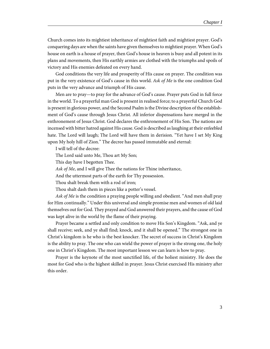Church comes into its mightiest inheritance of mightiest faith and mightiest prayer. God's conquering days are when the saints have given themselves to mightiest prayer. When God's house on earth is a house of prayer, then God's house in heaven is busy and all potent in its plans and movements, then His earthly armies are clothed with the triumphs and spoils of victory and His enemies defeated on every hand.

God conditions the very life and prosperity of His cause on prayer. The condition was put in the very existence of God's cause in this world. Ask of Me is the one condition God puts in the very advance and triumph of His cause.

Men are to pray—to pray for the advance of God's cause. Prayer puts God in full force in the world. To a prayerful man God is present in realised force; to a prayerful Church God is present in glorious power, and the Second Psalm is the Divine description of the establishment of God's cause through Jesus Christ. All inferior dispensations have merged in the enthronement of Jesus Christ. God declares the enthronement of His Son. The nations are incensed with bitter hatred against His cause. God is described as laughing at their enfeebled hate. The Lord will laugh; The Lord will have them in derision. "Yet have I set My King upon My holy hill of Zion." The decree has passed immutable and eternal:

I will tell of the decree:

The Lord said unto Me, Thou art My Son;

This day have I begotten Thee.

Ask of Me, and I will give Thee the nations for Thine inheritance,

And the uttermost parts of the earth for Thy possession.

Thou shalt break them with a rod of iron;

Thou shalt dash them in pieces like a potter's vessel.

Ask of Me is the condition a praying people willing and obedient. "And men shall pray for Him continually." Under this universal and simple promise men and women of old laid themselves out for God. They prayed and God answered their prayers, and the cause of God was kept alive in the world by the flame of their praying.

Prayer became a settled and only condition to move His Son's Kingdom. "Ask, and ye shall receive; seek, and ye shall find; knock, and it shall be opened." The strongest one in Christ's kingdom is he who is the best knocker. The secret of success in Christ's Kingdom is the ability to pray. The one who can wield the power of prayer is the strong one, the holy one in Christ's Kingdom. The most important lesson we can learn is how to pray.

Prayer is the keynote of the most sanctified life, of the holiest ministry. He does the most for God who is the highest skilled in prayer. Jesus Christ exercised His ministry after this order.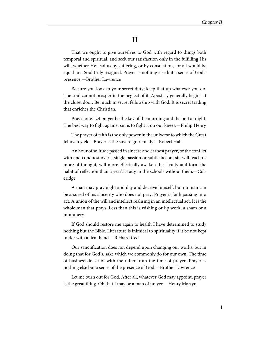#### **II**

<span id="page-7-0"></span>That we ought to give ourselves to God with regard to things both temporal and spiritual, and seek our satisfaction only in the fulfilling His will, whether He lead us by suffering, or by consolation, for all would be equal to a Soul truly resigned. Prayer is nothing else but a sense of God's presence.—Brother Lawrence

Be sure you look to your secret duty; keep that up whatever you do. The soul cannot prosper in the neglect of it. Apostasy generally begins at the closet door. Be much in secret fellowship with God. It is secret trading that enriches the Christian.

Pray alone. Let prayer be the key of the morning and the bolt at night. The best way to fight against sin is to fight it on our knees.—Philip Henry

The prayer of faith is the only power in the universe to which the Great Jehovah yields. Prayer is the sovereign remedy.—Robert Hall

An hour of solitude passed in sincere and earnest prayer, or the conflict with and conquest over a single passion or subtle bosom sin will teach us more of thought, will more effectually awaken the faculty and form the habit of reflection than a year's study in the schools without them.—Coleridge

A man may pray night and day and deceive himself, but no man can be assured of his sincerity who does not pray. Prayer is faith passing into act. A union of the will and intellect realising in an intellectual act. It is the whole man that prays. Less than this is wishing or lip work, a sham or a mummery.

If God should restore me again to health I have determined to study nothing but the Bible. Literature is inimical to spirituality if it be not kept under with a firm hand.—Richard Cecil

Our sanctification does not depend upon changing our works, but in doing that for God's. sake which we commonly do for our own. The time of business does not with me differ from the time of prayer. Prayer is nothing else but a sense of the presence of God.—Brother Lawrence

Let me burn out for God. After all, whatever God may appoint, prayer is the great thing. Oh that I may be a man of prayer.—Henry Martyn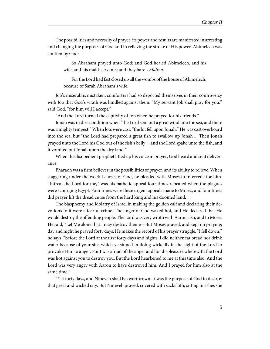The possibilities and necessity of prayer, its power and results are manifested in arresting and changing the purposes of God and in relieving the stroke of His power. Abimelech was smitten by God:

So Abraham prayed unto God: and God healed Abimelech, and his wife, and his maid-servants; and they bare children.

For the Lord had fast closed up all the wombs of the house of Abimelech, because of Sarah Abraham's wife.

Job's miserable, mistaken, comforters had so deported themselves in their controversy with Job that God's wrath was kindled against them. "My servant Job shall pray for you," said God, "for him will I accept."

"And the Lord turned the captivity of Job when he prayed for his friends."

Jonah was in dire condition when "the Lord sent out a great wind into the sea, and there was a mighty tempest." When lots were cast, "the lot fell upon Jonah." He was cast overboard into the sea, but "the Lord had prepared a great fish to swallow up Jonah ... Then Jonah prayed unto the Lord his God out of the fish's belly ... and the Lord spake unto the fish, and it vomited out Jonah upon the dry land."

When the disobedient prophet lifted up his voice in prayer, God heard and sent deliverance.

Pharaoh was a firm believer in the possibilities of prayer, and its ability to relieve. When staggering under the woeful curses of God, he pleaded with Moses to intercede for him. "Intreat the Lord for me," was his pathetic appeal four times repeated when the plagues were scourging Egypt. Four times were these urgent appeals made to Moses, and four times did prayer lift the dread curse from the hard king and his doomed land.

The blasphemy and idolatry of Israel in making the golden calf and declaring their devotions to it were a fearful crime. The anger of God waxed hot, and He declared that He would destroy the offending people. The Lord was very wroth with Aaron also, and to Moses He said, "Let Me alone that I may destroy theme—But Moses prayed, and kept on praying; day and night he prayed forty days. He makes the record of his prayer struggle. "I fell down," he says, "before the Lord at the first forty days and nights; I did neither eat bread nor drink water because of your sins which ye sinned in doing wickedly in the sight of the Lord to provoke Him to anger. For I was afraid of the anger and hot displeasure wherewith the Lord was hot against you to destroy you. But the Lord hearkened to me at this time also. And the Lord was very angry with Aaron to have destroyed him. And I prayed for him also at the same time."

"Yet forty days, and Nineveh shall be overthrown. It was the purpose of God to destroy that great and wicked city. But Nineveh prayed, covered with sackcloth; sitting in ashes she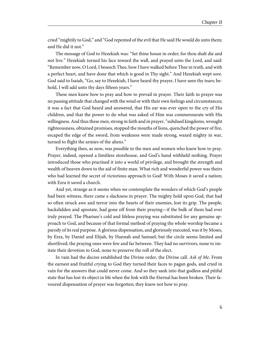cried "mightily to God," and "God repented of the evil that He said He would do unto them; and He did it not."

The message of God to Hezekiah was: "Set thine house in order; for thou shalt die and not live." Hezekiah turned his face toward the wall, and prayed unto the Lord, and said: "Remember now, O Lord, I beseech Thee, how I have walked before Thee in truth, and with a perfect heart, and have done that which is good in Thy sight." And Hezekiah wept sore. God said to Isaiah, "Go, say to Hezekiah, I have heard thy prayer, I have seen thy tears; behold, I will add unto thy days fifteen years."

These men knew how to pray and how to prevail in prayer. Their faith in prayer was no passing attitude that changed with the wind or with their own feelings and circumstances; it was a fact that God heard and answered, that His ear was ever open to the cry of His children, and that the power to do what was asked of Him was commensurate with His willingness. And thus these men, strong in faith and in prayer, "subdued kingdoms, wrought righteousness, obtained promises, stopped the mouths of lions, quenched the power of fire, escaped the edge of the sword, from weakness were made strong, waxed mighty in war, turned to flight the armies of the aliens."

Everything then, as now, was possible to the men and women who knew how to pray. Prayer, indeed, opened a limitless storehouse, and God's hand withheld nothing. Prayer introduced those who practised it into a world of privilege, and brought the strength and wealth of heaven down to the aid of finite man. What rich and wonderful power was theirs who had learned the secret of victorious approach to God! With Moses it saved a nation; with Ezra it saved a church.

And yet, strange as it seems when we contemplate the wonders of which God's people had been witness, there came a slackness in prayer. The mighty hold upon God, that had so often struck awe and terror into the hearts of their enemies, lost its grip. The people, backslidden and apostate, had gone off from their praying—if the bulk of them had ever truly prayed. The Pharisee's cold and lifeless praying was substituted for any genuine approach to God, and because of that formal method of praying the whole worship became a parody of its real purpose. A glorious dispensation, and gloriously executed, was it by Moses, by Ezra, by Daniel and Elijah, by Hannah and Samuel; but the circle seems limited and shortlived; the praying ones were few and far between. They had no survivors, none to imitate their devotion to God, none to preserve the roll of the elect.

In vain had the decree established the Divine order, the Divine call. Ask of Me. From the earnest and fruitful crying to God they turned their faces to pagan gods, and cried in vain for the answers that could never come. And so they sank into that godless and pitiful state that has lost its object in life when the link with the Eternal has been broken. Their favoured dispensation of prayer was forgotten; they knew not how to pray.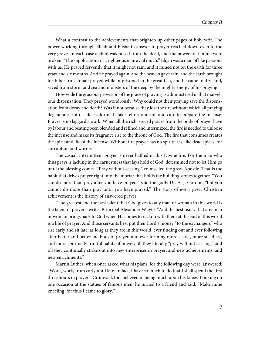What a contrast to the achievements that brighten up other pages of holy writ. The power working through Elijah and Elisha in answer to prayer reached down even to the very grave. In each case a child was raised from the dead, and the powers of famine were broken. "The supplications of a righteous man avail much." Elijah was a man of like passions with us. He prayed fervently that it might not rain, and it rained not on the earth for three years and six months. And he prayed again, and the heaven gave rain, and the earth brought forth her fruit. Jonah prayed while imprisoned in the great fish, and he came to dry land, saved from storm and sea and monsters of the deep by the mighty energy of his praying.

How wide the gracious provision of the grace of praying as administered in that marvellous dispensation. They prayed wondrously. Why could not their praying save the dispensation from decay and death? Was it not because they lost the fire without which all praying degenerates into a lifeless form? It takes effort and toil and care to prepare the incense. Prayer is no laggard's work. When all the rich, spiced graces from the body of prayer have by labour and beating been blended and refined and intermixed, the fire is needed to unloose the incense and make its fragrance rise to the throne of God. The fire that consumes creates the spirit and life of the incense. Without fire prayer has no spirit; it is, like dead spices, for corruption and worms.

The casual, intermittent prayer is never bathed in this Divine fire. For the man who thus prays is lacking in the earnestness that lays hold of God, determined not to let Him go until the blessing comes. "Pray without ceasing," counselled the great Apostle. That is the habit that drives prayer right into the mortar that holds the building stones together. "You can do more than pray after you have prayed," said the godly Dr. A. J. Gordon, "but you cannot do more than pray until you have prayed." The story of every great Christian achievement is the history of answered prayer.

"The greatest and the best talent that God gives to any man or woman in this world is the talent of prayer," writes Principal Alexander Whyte. "And the best usury that any man or woman brings back to God when He comes to reckon with them at the end of this world is a life of prayer. And those servants best put their Lord's money "to the exchangers" who rise early and sit late, as long as they are in this world, ever finding out and ever following after better and better methods of prayer, and ever forming more secret, more steadfast, and more spiritually fruitful habits of prayer, till they literally "pray without ceasing," and till they continually strike out into new enterprises in prayer, and new achievements, and new enrichments."

Martin Luther, when once asked what his plans, for the following day were, answered: "Work, work, from early until late. In fact, I have so much to do that I shall spend the first three hours in prayer." Cromwell, too, believed in being much upon his knees. Looking on one occasion at the statues of famous men, he turned to a friend and said: "Make mine kneeling, for thus I came to glory."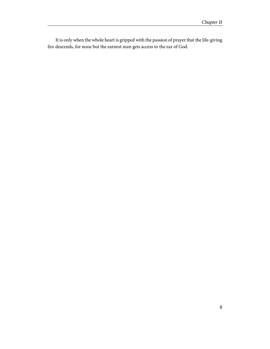It is only when the whole heart is gripped with the passion of prayer that the life-giving fire descends, for none but the earnest man gets access to the ear of God.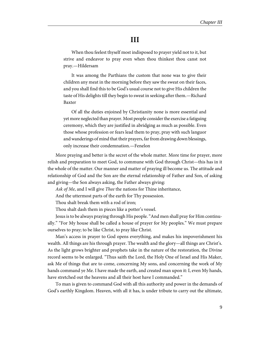#### **III**

<span id="page-12-0"></span>When thou feelest thyself most indisposed to prayer yield not to it, but strive and endeavor to pray even when thou thinkest thou canst not pray.—Hildersam

It was among the Parthians the custom that none was to give their children any meat in the morning before they saw the sweat on their faces, and you shall find this to be God's usual course not to give His children the taste of His delights till they begin to sweat in seeking after them.—Richard Baxter

Of all the duties enjoined by Christianity none is more essential and yet more neglected than prayer. Most people consider the exercise a fatiguing ceremony, which they are justified in abridging as much as possible. Even those whose profession or fears lead them to pray, pray with such languor and wanderings of mind that their prayers, far from drawing down blessings, only increase their condemnation.—Fenelon

More praying and better is the secret of the whole matter. More time for prayer, more relish and preparation to meet God, to commune with God through Christ—this has in it the whole of the matter. Our manner and matter of praying ill become us. The attitude and relationship of God and the Son are the eternal relationship of Father and Son, of asking and giving—the Son always asking, the Father always giving:

Ask of Me, and I will give Thee the nations for Thine inheritance,

And the uttermost parts of the earth for Thy possession.

Thou shalt break them with a rod of iron;

Thou shalt dash them in pieces like a potter's vessel.

Jesus is to be always praying through His people. "And men shall pray for Him continually." "For My house shall be called a house of prayer for My peoples." We must prepare ourselves to pray; to be like Christ, to pray like Christ.

Man's access in prayer to God opens everything, and makes his impoverishment his wealth. All things are his through prayer. The wealth and the glory—all things are Christ's. As the light grows brighter and prophets take in the nature of the restoration, the Divine record seems to be enlarged. "Thus saith the Lord, the Holy One of Israel and His Maker, ask Me of things that are to come, concerning My sons, and concerning the work of My hands command ye Me. I have made the earth, and created man upon it: I, even My hands, have stretched out the heavens and all their host have I commanded."

To man is given to command God with all this authority and power in the demands of God's earthly Kingdom. Heaven, with all it has, is under tribute to carry out the ultimate,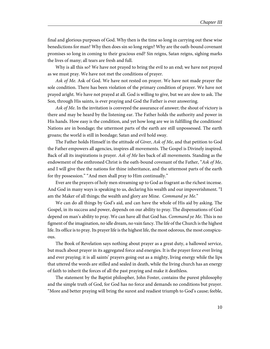final and glorious purposes of God. Why then is the time so long in carrying out these wise benedictions for man? Why then does sin so long reign? Why are the oath-bound covenant promises so long in coming to their gracious end? Sin reigns, Satan reigns, sighing marks the lives of many; all tears are fresh and full.

Why is all this so? We have not prayed to bring the evil to an end; we have not prayed as we must pray. We have not met the conditions of prayer.

Ask of Me. Ask of God. We have not rested on prayer. We have not made prayer the sole condition. There has been violation of the primary condition of prayer. We have not prayed aright. We have not prayed at all. God is willing to give, but we are slow to ask. The Son, through His saints, is ever praying and God the Father is ever answering.

Ask of Me. In the invitation is conveyed the assurance of answer; the shout of victory is there and may be heard by the listening ear. The Father holds the authority and power in His hands. How easy is the condition, and yet how long are we in fulfilling the conditions! Nations are in bondage; the uttermost parts of the earth are still unpossessed. The earth groans; the world is still in bondage; Satan and evil hold sway.

The Father holds Himself in the attitude of Giver, Ask of Me, and that petition to God the Father empowers all agencies, inspires all movements. The Gospel is Divinely inspired. Back of all its inspirations is prayer. Ask of Me lies back of all movements. Standing as the endowment of the enthroned Christ is the oath-bound covenant of the Father, "Ask of Me, and I will give thee the nations for thine inheritance, and the uttermost parts of the earth for thy possession." "And men shall pray to Him continually."

Ever are the prayers of holy men streaming up to God as fragrant as the richest incense. And God in many ways is speaking to us, declaring his wealth and our impoverishment. "I am the Maker of all things; the wealth and glory are Mine. Command ye Me."

We can do all things by God's aid, and can have the whole of His aid by asking. The Gospel, in its success and power, depends on our ability to pray. The dispensations of God depend on man's ability to pray. We can have all that God has. Command ye Me. This is no figment of the imagination, no idle dream, no vain fancy. The life of the Church is the highest life. Its office is to pray. Its prayer life is the highest life, the most odorous, the most conspicuous.

The Book of Revelation says nothing about prayer as a great duty, a hallowed service, but much about prayer in its aggregated force and energies. It is the prayer force ever living and ever praying; it is all saints' prayers going out as a mighty, living energy while the lips that uttered the words are stilled and sealed in death, while the living church has an energy of faith to inherit the forces of all the past praying and make it deathless.

The statement by the Baptist philospher, John Foster, contains the purest philosophy and the simple truth of God, for God has no force and demands no conditions but prayer. "More and better praying will bring the surest and readiest triumph to God's cause; feeble,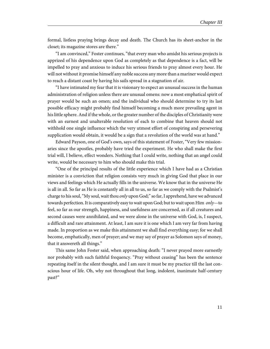formal, listless praying brings decay and death. The Church has its sheet-anchor in the closet; its magazine stores are there."

"I am convinced," Foster continues, "that every man who amidst his serious projects is apprized of his dependence upon God as completely as that dependence is a fact, will be impelled to pray and anxious to induce his serious friends to pray almost every hour. He will not without it promise himself any noble success any more than a mariner would expect to reach a distant coast by having his sails spread in a stagnation of air.

"I have intimated my fear that it is visionary to expect an unusual success in the human administration of religion unless there are unusual omens: now a most emphatical spirit of prayer would be such an omen; and the individual who should determine to try its last possible efficacy might probably find himself becoming a much more prevailing agent in his little sphere. And if the whole, or the greater number of the disciples of Christianity were with an earnest and unalterable resolution of each to combine that heaven should not withhold one single influence which the very utmost effort of conspiring and persevering supplication would obtain, it would be a sign that a revolution of the world was at hand."

Edward Payson, one of God's own, says of this statement of Foster, "Very few missionaries since the apostles, probably have tried the experiment. He who shall make the first trial will, I believe, effect wonders. Nothing that I could write, nothing that an angel could write, would be necessary to him who should make this trial.

"One of the principal results of the little experience which I have had as a Christian minister is a conviction that religion consists very much in giving God that place in our views and feelings which He actually fills in the universe. We know that in the universe He is all in all. So far as He is constantly all in all to us, so far as we comply with the Psalmist's charge to his soul, "My soul, wait thou *only* upon God;" so far, I apprehend, have we advanced towards perfection. It is comparatively easy to wait upon God; but to wait upon Him only-to feel, so far as our strength, happiness, and usefulness are concerned, as if all creatures and second causes were annihilated, and we were alone in the universe with God, is, I suspect, a difficult and rare attainment. At least, I am sure it is one which I am very far from having made. In proportion as we make this attainment we shall find everything easy; for we shall become, emphatically, men of prayer; and we may say of prayer as Solomon says of money, that it answereth all things."

This same John Foster said, when approaching death: "I never prayed more earnestly nor probably with such faithful frequency. "Pray without ceasing" has been the sentence repeating itself in the silent thought, and I am sure it must be my practice till the last conscious hour of life. Oh, why not throughout that long, indolent, inanimate half-century past?"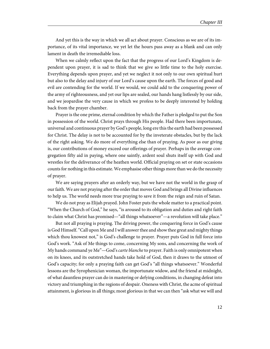And yet this is the way in which we all act about prayer. Conscious as we are of its importance, of its vital importance, we yet let the hours pass away as a blank and can only lament in death the irremediable loss.

When we calmly reflect upon the fact that the progress of our Lord's Kingdom is dependent upon prayer, it is sad to think that we give so little time to the holy exercise. Everything depends upon prayer, and yet we neglect it not only to our own spiritual hurt but also to the delay and injury of our Lord's cause upon the earth. The forces of good and evil are contending for the world. If we would, we could add to the conquering power of the army of righteousness, and yet our lips are sealed, our hands hang listlessly by our side, and we jeopardise the very cause in which we profess to be deeply interested by holding back from the prayer chamber.

Prayer is the one prime, eternal condition by which the Father is pledged to put the Son in possession of the world. Christ prays through His people. Had there been importunate, universal and continuous prayer by God's people, long ere this the earth had been possessed for Christ. The delay is not to be accounted for by the inveterate obstacles, but by the lack of the right asking. We do more of everything else than of praying. As poor as our giving is, our contributions of money exceed our offerings of prayer. Perhaps in the average congregation fifty aid in paying, where one saintly, ardent soul shuts itself up with God and wrestles for the deliverance of the heathen world. Official praying on set or state occasions counts for nothing in this estimate. We emphasise other things more than we do the necessity of prayer.

We are saying prayers after an orderly way, but we have not the world in the grasp of our faith. We are not praying after the order that moves God and brings all Divine influences to help us. The world needs more true praying to save it from the reign and ruin of Satan.

We do not pray as Elijah prayed. John Foster puts the whole matter to a practical point. "When the Church of God," he says, "is aroused to its obligation and duties and right faith to claim what Christ has promised—"all things whatsoever"—a revolution will take place."

But not all praying is praying. The driving power, the conquering force in God's cause is God Himself. "Call upon Me and I will answer thee and show thee great and mighty things which thou knowest not," is God's challenge to prayer. Prayer puts God in full force into God's work. "Ask of Me things to come, concerning My sons, and concerning the work of My hands command ye Me"—God's *carte blanche* to prayer. Faith is only omnipotent when on its knees, and its outstretched hands take hold of God, then it draws to the utmost of God's capacity; for only a praying faith can get God's "all things whatsoever." Wonderful lessons are the Syrophenician woman, the importunate widow, and the friend at midnight, of what dauntless prayer can do in mastering or defying conditions, in changing defeat into victory and triumphing in the regions of despair. Oneness with Christ, the acme of spiritual attainment, is glorious in all things; most glorious in that we can then "ask what we will and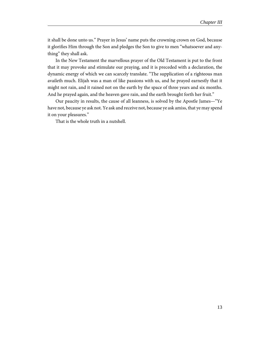it shall be done unto us." Prayer in Jesus' name puts the crowning crown on God, because it glorifies Him through the Son and pledges the Son to give to men "whatsoever and anything" they shall ask.

In the New Testament the marvellous prayer of the Old Testament is put to the front that it may provoke and stimulate our praying, and it is preceded with a declaration, the dynamic energy of which we can scarcely translate. "The supplication of a righteous man availeth much. Elijah was a man of like passions with us, and he prayed earnestly that it might not rain, and it rained not on the earth by the space of three years and six months. And he prayed again, and the heaven gave rain, and the earth brought forth her fruit."

Our paucity in results, the cause of all leanness, is solved by the Apostle James—"Ye have not, because ye ask not. Ye ask and receive not, because ye ask amiss, that ye may spend it on your pleasures."

That is the whole truth in a nutshell.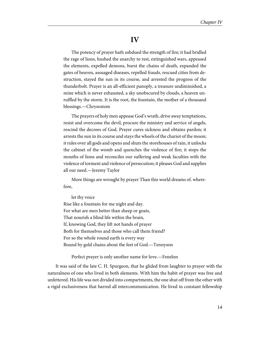#### **IV**

<span id="page-17-0"></span>The potency of prayer hath subdued the strength of fire; it had bridled the rage of lions, hushed the anarchy to rest, extinguished wars, appeased the elements, expelled demons, burst the chains of death, expanded the gates of heaven, assuaged diseases, repelled frauds, rescued cities from destruction, stayed the sun in its course, and arrested the progress of the thunderbolt. Prayer is an all-efficient panoply, a treasure undiminished, a mine which is never exhausted, a sky unobscured by clouds, a heaven unruffled by the storm. It is the root, the fountain, the mother of a thousand blessings.—Chrysostom

The prayers of holy men appease God's wrath, drive away temptations, resist and overcome the devil, procure the ministry and service of angels, rescind the decrees of God. Prayer cures sickness and obtains pardon; it arrests the sun in its course and stays the wheels of the chariot of the moon; it rules over all gods and opens and shuts the storehouses of rain, it unlocks the cabinet of the womb and quenches the violence of fire; it stops the mouths of lions and reconciles our suffering and weak faculties with the violence of torment and violence of persecution; it pleases God and supplies all our need.—Jeremy Taylor

More things are wrought by prayer Than this world dreams of. wherefore,

let thy voice Rise like a fountain for me night and day. For what are men better than sheep or goats, That nourish a blind life within the brain, If, knowing God, they lift not hands of prayer Both for themselves and those who call them friend? For so the whole round earth is every way Bound by gold chains about the feet of God.—Tennyson

Perfect prayer is only another name for love.—Fenelon

It was said of the late C. H. Spurgeon, that he glided from laughter to prayer with the naturalness of one who lived in both elements. With him the habit of prayer was free and unfettered. His life was not divided into compartments, the one shut off from the other with a rigid exclusiveness that barred all intercommunication. He lived in constant fellowship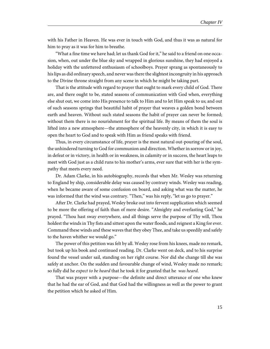with his Father in Heaven. He was ever in touch with God, and thus it was as natural for him to pray as it was for him to breathe.

"What a fine time we have had; let us thank God for it," he said to a friend on one occasion, when, out under the blue sky and wrapped in glorious sunshine, they had enjoyed a holiday with the unfettered enthusiasm of schoolboys. Prayer sprang as spontaneously to his lips as did ordinary speech, and never was there the slightest incongruity in his approach to the Divine throne straight from any scene in which he might be taking part.

That is the attitude with regard to prayer that ought to mark every child of God. There are, and there ought to be, stated seasons of communication with God when, everything else shut out, we come into His presence to talk to Him and to let Him speak to us; and out of such seasons springs that beautiful habit of prayer that weaves a golden bond between earth and heaven. Without such stated seasons the habit of prayer can never be formed; without them there is no nourishment for the spiritual life. By means of them the soul is lifted into a new atmosphere—the atmosphere of the heavenly city, in which it is easy to open the heart to God and to speak with Him as friend speaks with friend.

Thus, in every circumstance of life, prayer is the most natural out-pouring of the soul, the unhindered turning to God for communion and direction. Whether in sorrow or in joy, in defeat or in victory, in health or in weakness, in calamity or in success, the heart leaps to meet with God just as a child runs to his mother's arms, ever sure that with her is the sympathy that meets every need.

Dr. Adam Clarke, in his autobiography, records that when Mr. Wesley was returning to England by ship, considerable delay was caused by contrary winds. Wesley was reading, when he became aware of some confusion on board, and asking what was the matter, he was informed that the wind was contrary. "Then," was his reply, "let us go to prayer."

After Dr. Clarke had prayed, Wesley broke out into fervent supplication which seemed to be more the offering of faith than of mere desire. "Almighty and everlasting God," he prayed. "Thou hast sway everywhere, and all things serve the purpose of Thy will, Thou holdest the winds in Thy fists and sittest upon the water floods, and reignest a King for ever. Command these winds and these waves that they obey Thee, and take us speedily and safely to the haven whither we would go."

The power of this petition was felt by all. Wesley rose from his knees, made no remark, but took up his book and continued reading. Dr. Clarke went on deck, and to his surprise found the vessel under sail, standing on her right course. Nor did she change till she was safely at anchor. On the sudden and favourable change of wind, Wesley made no remark; so fully did he expect to be heard that he took it for granted that he was heard.

That was prayer with a purpose—the definite and direct utterance of one who knew that he had the ear of God, and that God had the willingness as well as the power to grant the petition which he asked of Him.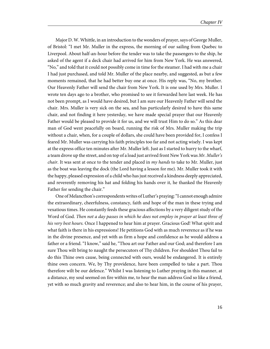Major D. W. Whittle, in an introduction to the wonders of prayer, says of George Muller, of Bristol: "I met Mr. Muller in the express, the morning of our sailing from Quebec to Liverpool. About half-an-hour before the tender was to take the passengers to the ship, he asked of the agent if a deck chair had arrived for him from New York. He was answered, "No," and told that it could not possibly come in time for the steamer. I had with me a chair I had just purchased, and told Mr. Muller of the place nearby, and suggested, as but a few moments remained, that he had better buy one at once. His reply was, "No, my brother. Our Heavenly Father will send the chair from New York. It is one used by Mrs. Muller. I wrote ten days ago to a brother, who promised to see it forwarded here last week. He has not been prompt, as I would have desired, but I am sure our Heavenly Father will send the chair. Mrs. Muller is very sick on the sea, and has particularly desired to have this same chair, and not finding it here yesterday, we have made special prayer that our Heavenly Father would be pleased to provide it for us, and we will trust Him to do so." As this dear man of God went peacefully on board, running the risk of Mrs. Muller making the trip without a chair, when, for a couple of dollars, she could have been provided for, I confess I feared Mr. Muller was carrying his faith principles too far and not acting wisely. I was kept at the express office ten minutes after Mr. Muller left. Just as I started to hurry to the wharf, a team drove up the street, and on top of a load just arrived front New York was Mr. Muller's *chair.* It was sent at once to the tender and placed in  $my$  *hands* to take to Mr. Muller, just as the boat was leaving the dock (the Lord having a lesson for me). Mr. Muller took it with the happy, pleased expression of a child who has just received a kindness deeply appreciated, and reverently removing his hat and folding his hands over it, he thanked the Heavenly Father for sending the chair."

One of Melancthon's correspondents writes of Luther's praying: "I cannot enough admire the extraordinary, cheerfulness, constancy, faith and hope of the man in these trying and vexatious times. He constantly feeds these gracious affections by a very diligent study of the Word of God. Then not a day passes in which he does not employ in prayer at least three of his very best hours. Once I happened to hear him at prayer. Gracious God! What spirit and what faith is there in his expressions! He petitions God with as much reverence as if he was in the divine presence, and yet with as firm a hope and confidence as he would address a father or a friend. "I know," said he, "Thou art our Father and our God; and therefore I am sure Thou wilt bring to naught the persecutors of Thy children. For shouldest Thou fail to do this Thine own cause, being connected with ours, would be endangered. It is entirely thine own concern. We, by Thy providence, have been compelled to take a part. Thou therefore wilt be our defence." Whilst I was listening to Luther praying in this manner, at a distance, my soul seemed on fire within me, to hear the man address God so like a friend, yet with so much gravity and reverence; and also to hear him, in the course of his prayer,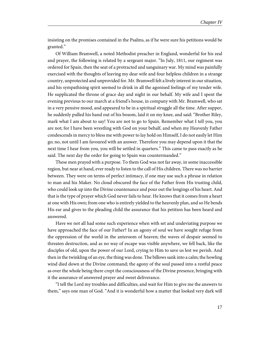insisting on the promises contained in the Psalms, as if he were sure his petitions would be granted."

Of William Bramwell, a noted Methodist preacher in England, wonderful for his zeal and prayer, the following is related by a sergeant major. "In July, 1811, our regiment was ordered for Spain, then the seat of a protracted and sanguinary war. My mind was painfully exercised with the thoughts of leaving my dear wife and four helpless children in a strange country, unprotected and unprovided for. Mr. Bramwell felt a lively interest in our situation, and his sympathising spirit seemed to drink in all the agonised feelings of my tender wife. He supplicated the throne of grace day and night in our behalf. My wife and I spent the evening previous to our march at a friend's house, in company with Mr. Bramwell, who sat in a very pensive mood, and appeared to be in a spiritual struggle all the time. After supper, he suddenly pulled his hand out of his bosom, laid it on my knee, and said: "Brother Riley, mark what I am about to say! You are not to go to Spain. Remember what I tell you, you are not; for I have been wrestling with God on your behalf, and when my Heavenly Father condescends in mercy to bless me with power to lay hold on Himself, I do not easily let Him go; no, not until I am favoured with an answer. Therefore you may depend upon it that the next time I hear from you, you will be settled in quarters." This came to pass exactly as he said. The next day the order for going to Spain was countermanded."

These men prayed with a purpose. To them God was not far away, in some inaccessible region, but near at hand, ever ready to listen to the call of His children. There was no barrier between. They were on terms of perfect intimacy, if one may use such a phrase in relation to man and his Maker. No cloud obscured the face of the Father from His trusting child, who could look up into the Divine countenance and pour out the longings of his heart. And that is the type of prayer which God never fails to hear. He knows that it comes from a heart at one with His own; from one who is entirely yielded to the heavenly plan, and so He bends His ear and gives to the pleading child the assurance that his petition has been heard and answered.

Have we not all had some such experience when with set and undeviating purpose we have approached the face of our Father? In an agony of soul we have sought refuge from the oppression of the world in the anteroom of heaven; the waves of despair seemed to threaten destruction, and as no way of escape was visible anywhere, we fell back, like the disciples of old, upon the power of our Lord, crying to Him to save us lest we perish. And then in the twinkling of an eye, the thing was done. The billows sank into a calm; the howling wind died down at the Divine command; the agony of the soul passed into a restful peace as over the whole being there crept the consciousness of the Divine presence, bringing with it the assurance of answered prayer and sweet deliverance.

"I tell the Lord my troubles and difficulties, and wait for Him to give me the answers to them," says one man of God. "And it is wonderful how a matter that looked very dark will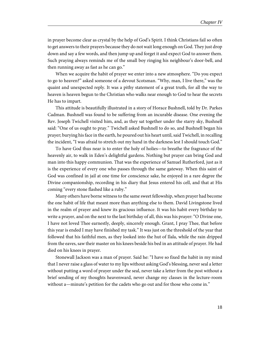in prayer become clear as crystal by the help of God's Spirit. I think Christians fail so often to get answers to their prayers because they do not wait long enough on God. They just drop down and say a few words, and then jump up and forget it and expect God to answer them. Such praying always reminds me of the small boy ringing his neighbour's door-bell, and then running away as fast as he can go."

When we acquire the habit of prayer we enter into a new atmosphere. "Do you expect to go to heaven?" asked someone of a devout Scotsman. "Why, man, I live there," was the quaint and unexpected reply. It was a pithy statement of a great truth, for all the way to heaven is heaven begun to the Christian who walks near enough to God to hear the secrets He has to impart.

This attitude is beautifully illustrated in a story of Horace Bushnell, told by Dr. Parkes Cadman. Bushnell was found to be suffering from an incurable disease. One evening the Rev. Joseph Twichell visited him, and, as they sat together under the starry sky, Bushnell said: "One of us ought to pray." Twichell asked Bushnell to do so, and Bushnell began his prayer; burying his face in the earth, he poured out his heart until, said Twichell, in recalling the incident, "I was afraid to stretch out my hand in the darkness lest I should touch God."

To have God thus near is to enter the holy of holies—to breathe the fragrance of the heavenly air, to walk in Eden's delightful gardens. Nothing but prayer can bring God and man into this happy communion. That was the experience of Samuel Rutherford, just as it is the experience of every one who passes through the same gateway. When this saint of God was confined in jail at one time for conscience sake, he enjoyed in a rare degree the Divine companionship, recording in his diary that Jesus entered his cell, and that at His coming "every stone flashed like a ruby."

Many others have borne witness to the same sweet fellowship, when prayer had become the one habit of life that meant more than anything else to them. David Livingstone lived in the realm of prayer and knew its gracious influence. It was his habit every birthday to write a prayer, and on the next to the last birthday of all, this was his prayer: "O Divine one, I have not loved Thee earnestly, deeply, sincerely enough. Grant, I pray Thee, that before this year is ended I may have finished my task." It was just on the threshold of the year that followed that his faithful men, as they looked into the hut of Ilala, while the rain dripped from the eaves, saw their master on his knees beside his bed in an attitude of prayer. He had died on his knees in prayer.

Stonewall Jackson was a man of prayer. Said he: "I have so fixed the habit in my mind that I never raise a glass of water to my lips without asking God's blessing, never seal a letter without putting a word of prayer under the seal, never take a letter from the post without a brief sending of my thoughts heavenward, never change my classes in the lecture-room without a—minute's petition for the cadets who go out and for those who come in."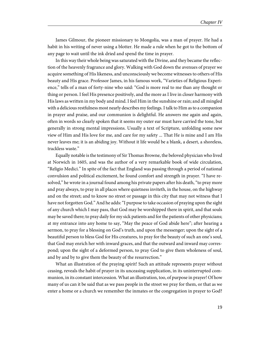James Gilmour, the pioneer missionary to Mongolia, was a man of prayer. He had a habit in his writing of never using a blotter. He made a rule when he got to the bottom of any page to wait until the ink dried and spend the time in prayer.

In this way their whole being was saturated with the Divine, and they became the reflection of the heavenly fragrance and glory. Walking with God down the avenues of prayer we acquire something of His likeness, and unconsciously we become witnesses to others of His beauty and His grace. Professor James, in his famous work, "Varieties of Religious Experience," tells of a man of forty-nine who said: "God is more real to me than any thought or thing or person. I feel His presence positively, and the more as I live in closer harmony with His laws as written in my body and mind. I feel Him in the sunshine or rain; and all mingled with a delicious restfulness most nearly describes my feelings. I talk to Him as to a companion in prayer and praise, and our communion is delightful. He answers me again and again, often in words so clearly spoken that it seems my outer ear must have carried the tone, but generally in strong mental impressions. Usually a text of Scripture, unfolding some new view of Him and His love for me, and care for my safety ... That He is mine and I am His never leaves me; it is an abiding joy. Without it life would be a blank, a desert, a shoreless, trackless waste."

Equally notable is the testimony of Sir Thomas Browne, the beloved physician who lived at Norwich in 1605, and was the author of a very remarkable book of wide circulation, "Religio Medici." In spite of the fact that England was passing through a period of national convulsion and political excitement, he found comfort and strength in prayer. "I have resolved," he wrote in a journal found among his private papers after his death, "to pray more and pray always, to pray in all places where quietness inviteth, in the house, on the highway and on the street; and to know no street or passage in this city that may not witness that I have not forgotten God." And he adds: "I purpose to take occasion of praying upon the sight of any church which I may pass, that God may be worshipped there in spirit, and that souls may be saved there; to pray daily for my sick patients and for the patients of other physicians; at my entrance into any home to say, "May the peace of God abide here"; after hearing a sermon, to pray for a blessing on God's truth, and upon the messenger; upon the sight of a beautiful person to bless God for His creatures, to pray for the beauty of such an one's soul, that God may enrich her with inward graces, and that the outward and inward may correspond; upon the sight of a deformed person, to pray God to give them wholeness of soul, and by and by to give them the beauty of the resurrection."

What an illustration of the praying spirit! Such an attitude represents prayer without ceasing, reveals the habit of prayer in its unceasing supplication, in its uninterrupted communion, in its constant intercession. What an illustration, too, of purpose in prayer! Of how many of us can it be said that as we pass people in the street we pray for them, or that as we enter a home or a church we remember the inmates or the congregation in prayer to God?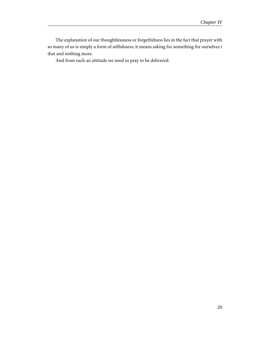The explanation of our thoughtlessness or forgetfulness lies in the fact that prayer with so many of us is simply a form of selfishness; it means asking for something for ourselves t that and nothing more.

And from such an attitude we need to pray to be delivered.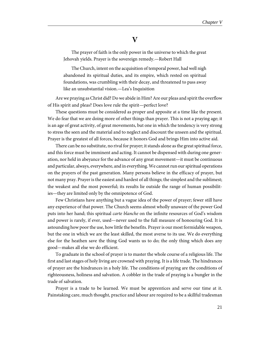#### **V**

<span id="page-24-0"></span>The prayer of faith is the only power in the universe to which the great Jehovah yields. Prayer is the sovereign remedy.—Robert Hall

The Church, intent on the acquisition of temporal power, had well nigh abandoned its spiritual duties, and its empire, which rested on spiritual foundations, was crumbling with their decay, and threatened to pass away like an unsubstantial vision.—Lea's Inquisition

Are we praying as Christ did? Do we abide in Him? Are our pleas and spirit the overflow of His spirit and pleas? Does love rule the spirit—perfect love?

These questions must be considered as proper and apposite at a time like the present. We do fear that we are doing more of other things than prayer. This is not a praying age; it is an age of great activity, of great movements, but one in which the tendency is very strong to stress the seen and the material and to neglect and discount the unseen and the spiritual. Prayer is the greatest of all forces, because it honors God and brings Him into active aid.

There can be no substitute, no rival for prayer; it stands alone as the great spiritual force, and this force must be imminent and acting. It cannot be dispensed with during one generation, nor held in abeyance for the advance of any great movement—it must be continuous and particular, always, everywhere, and in everything. We cannot run our spiritual operations on the prayers of the past generation. Many persons believe in the efficacy of prayer, but not many pray. Prayer is the easiest and hardest of all things; the simplest and the sublimest; the weakest and the most powerful; its results lie outside the range of human possibilities—they are limited only by the omnipotence of God.

Few Christians have anything but a vague idea of the power of prayer; fewer still have any experience of that power. The Church seems almost wholly unaware of the power God puts into her hand; this spiritual carte blanche on the infinite resources of God's wisdom and power is rarely, if ever, used—never used to the full measure of honouring God. It is astounding how poor the use, how little the benefits. Prayer is our most formidable weapon, but the one in which we are the least skilled, the most averse to its use. We do everything else for the heathen save the thing God wants us to do; the only thing which does any good—makes all else we do efficient.

To graduate in the school of prayer is to master the whole course of a religious life. The first and last stages of holy living are crowned with praying. It is a life trade. The hindrances of prayer are the hindrances in a holy life. The conditions of praying are the conditions of righteousness, holiness and salvation. A cobbler in the trade of praying is a bungler in the trade of salvation.

Prayer is a trade to be learned. We must be apprentices and serve our time at it. Painstaking care, much thought, practice and labour are required to be a skillful tradesman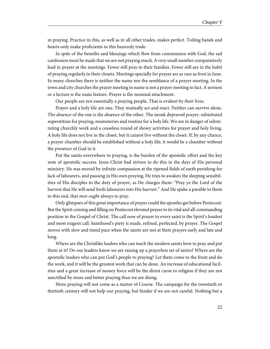in praying. Practice in this, as well as in all other trades, makes perfect. Toiling hands and hearts only make proficients in this heavenly trade.

In spite of the benefits and blessings which flow from communion with God, the sad confession must be made that we are not praying much. A very small number comparatively lead in prayer at the meetings. Fewer still pray in their families. Fewer still are in the habit of praying regularly in their closets. Meetings specially for prayer are as rare as frost in June. In many churches there is neither the name nor the semblance of a prayer meeting. In the town and city churches the prayer meeting in name is not a prayer meeting in fact. A sermon or a lecture is the main feature. Prayer is the nominal attachment.

Our people are not essentially a praying people. That is evident by their lives.

Prayer and a holy life are one. They mutually act and react. Neither can survive alone. The absence of the one is the absence of the other. The monk depraved prayer, substituted superstition for praying, mummeries and routine for a holy life. We are in danger of substituting churchly work and a ceaseless round of showy activities for prayer and holy living. A holy life does not live in the closet, but it cannot live without the closet. If, by any chance, a prayer chamber should be established without a holy life, it would be a chamber without the presence of God in it.

Put the saints everywhere to praying, is the burden of the apostolic effort and the key note of apostolic success. Jesus Christ had striven to do this in the days of His personal ministry. He was moved by infinite compassion at the ripened fields of earth perishing for lack of labourers, and pausing in His own praying, He tries to awaken the sleeping sensibilities of His disciples to the duty of prayer, as He charges them: "Pray ye the Lord of the harvest that He will send forth labourers into His harvest." And He spake a parable to them to this end, that *men ought* always to pray.

Only glimpses of this great importance of prayer could the apostles get before Pentecost. But the Spirit coming and filling on Pentecost elevated prayer to its vital and all-commanding position in the Gospel of Christ. The call now of prayer to every saint is the Spirit's loudest and most exigent call. Sainthood's piety is made, refined, perfected, by prayer. The Gospel moves with slow and timid pace when the saints are not at their prayers early and late and long.

Where are the Christlike leaders who can teach the modern saints how to pray and put them at it? Do our leaders know we are raising up a prayerless set of saints? Where are the apostolic leaders who can put God's people to praying? Let them come to the front and do the work, and it will be the greatest work that can be done. An increase of educational facilities and a great increase of money force will be the direst curse to religion if they are not sanctified by more and better praying than we are doing.

More praying will not come as a matter of Course. The campaign for the twentieth or thirtieth century will not help our praying, but hinder if we are not careful. Nothing but a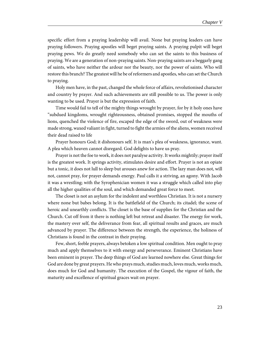specific effort from a praying leadership will avail. None but praying leaders can have praying followers. Praying apostles will beget praying saints. A praying pulpit will beget praying pews. We do greatly need somebody who can set the saints to this business of praying. We are a generation of non-praying saints. Non-praying saints are a beggarly gang of saints, who have neither the ardour nor the beauty, nor the power of saints. Who will restore this branch? The greatest will he be of reformers and apostles, who can set the Church to praying.

Holy men have, in the past, changed the whole force of affairs, revolutionised character and country by prayer. And such achievements are still possible to us. The power is only wanting to be used. Prayer is but the expression of faith.

Time would fail to tell of the mighty things wrought by prayer, for by it holy ones have "subdued kingdoms, wrought righteousness, obtained promises, stopped the mouths of lions, quenched the violence of fire, escaped the edge of the sword, out of weakness were made strong, waxed valiant in fight, turned to fight the armies of the aliens, women received their dead raised to life

Prayer honours God; it dishonours self. It is man's plea of weakness, ignorance, want. A plea which heaven cannot disregard. God delights to have us pray.

Prayer is not the foe to work, it does not paralyse activity. It works mightily; prayer itself is the greatest work. It springs activity, stimulates desire and effort. Prayer is not an opiate but a tonic, it does not lull to sleep but arouses anew for action. The lazy man does not, will not, cannot pray, for prayer demands energy. Paul calls it a striving, an agony. With Jacob it was a wrestling; with the Syrophenician women it was a struggle which called into play all the higher qualities of the soul, and which demanded great force to meet.

The closet is not an asylum for the indolent and worthless Christian. It is not a nursery where none but babes belong. It is the battlefield of the Church; its citadel; the scene of heroic and unearthly conflicts. The closet is the base of supplies for the Christian and the Church. Cut off from it there is nothing left but retreat and disaster. The energy for work, the mastery over self, the deliverance from fear, all spiritual results and graces, are much advanced by prayer. The difference between the strength, the experience, the holiness of Christians is found in the contrast in their praying.

Few, short, feeble prayers, always betoken a low spiritual condition. Men ought to pray much and apply themselves to it with energy and perseverance. Eminent Christians have been eminent in prayer. The deep things of God are learned nowhere else. Great things for God are done by great prayers. He who prays much, studies much, loves much, works much, does much for God and humanity. The execution of the Gospel, the vigour of faith, the maturity and excellence of spiritual graces wait on prayer.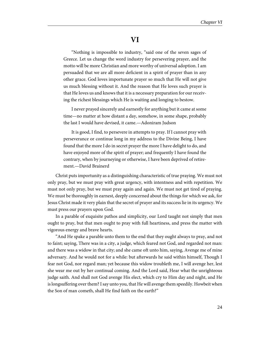#### **VI**

<span id="page-27-0"></span>"Nothing is impossible to industry, "said one of the seven sages of Greece. Let us change the word industry for persevering prayer, and the motto will be more Christian and more worthy of universal adoption. I am persuaded that we are all more deficient in a spirit of prayer than in any other grace. God loves importunate prayer so much that He will not give us much blessing without it. And the reason that He loves such prayer is that He loves us and knows that it is a necessary preparation for our receiving the richest blessings which He is waiting and longing to bestow.

I never prayed sincerely and earnestly for anything but it came at some time—no matter at how distant a day, somehow, in some shape, probably the last I would have devised, it came.—Adoniram Judson

It is good, I find, to persevere in attempts to pray. If I cannot pray with perseverance or continue long in my address to the Divine Being, I have found that the more I do in secret prayer the more I have delight to do, and have enjoyed more of the spirit of prayer; and frequently I have found the contrary, when by journeying or otherwise, I have been deprived of retirement.—David Brainerd

Christ puts importunity as a distinguishing characteristic of true praying. We must not only pray, but we must pray with great urgency, with intentness and with repetition. We must not only pray, but we must pray again and again. We must not get tired of praying. We must be thoroughly in earnest, deeply concerned about the things for which we ask, for Jesus Christ made it very plain that the secret of prayer and its success lie in its urgency. We must press our prayers upon God.

In a parable of exquisite pathos and simplicity, our Lord taught not simply that men ought to pray, but that men ought to pray with full heartiness, and press the matter with vigorous energy and brave hearts.

"And He spake a parable unto them to the end that they ought always to pray, and not to faint; saying, There was in a city, a judge, which feared not God, and regarded not man: and there was a widow in that city; and she came oft unto him, saying, Avenge me of mine adversary. And he would not for a while: but afterwards he said within himself, Though I fear not God, nor regard man; yet because this widow troubleth me, I will avenge her, lest she wear me out by her continual coming. And the Lord said, Hear what the unrighteous judge saith. And shall not God avenge His elect, which cry to Him day and night, and He is longsuffering over them? I say unto you, that He will avenge them speedily. Howbeit when the Son of man cometh, shall He find faith on the earth?"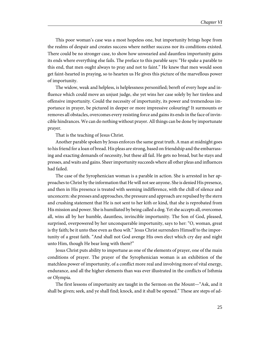This poor woman's case was a most hopeless one, but importunity brings hope from the realms of despair and creates success where neither success nor its conditions existed. There could be no stronger case, to show how unwearied and dauntless importunity gains its ends where everything else fails. The preface to this parable says: "He spake a parable to this end, that men ought always to pray and not to faint." He knew that men would soon get faint-hearted in praying, so to hearten us He gives this picture of the marvellous power of importunity.

The widow, weak and helpless, is helplessness personified; bereft of every hope and influence which could move an unjust judge, she yet wins her case solely by her tireless and offensive importunity. Could the necessity of importunity, its power and tremendous importance in prayer, be pictured in deeper or more impressive colouring? It surmounts or removes all obstacles, overcomes every resisting force and gains its ends in the face of invincible hindrances. We can do nothing without prayer. All things can be done by importunate prayer.

That is the teaching of Jesus Christ.

Another parable spoken by Jesus enforces the same great truth. A man at midnight goes to his friend for a loan of bread. His pleas are strong, based on friendship and the embarrassing and exacting demands of necessity, but these all fail. He gets no bread, but he stays and presses, and waits and gains. Sheer importunity succeeds where all other pleas and influences had failed.

The case of the Syrophenician woman is a parable in action. She is arrested in her approaches to Christ by the information that He will not see anyone. She is denied His presence, and then in His presence is treated with seeming indifference, with the chill of silence and unconcern: she presses and approaches, the pressure and approach are repulsed by the stern and crushing statement that He is not sent to her kith or kind, that she is reprobated from His mission and power. She is humiliated by being called a dog. Yet she accepts all, overcomes all, wins all by her humble, dauntless, invincible importunity. The Son of God, pleased, surprised, overpowered by her unconquerable importunity, says to her: "O, woman, great is thy faith; be it unto thee even as thou wilt." Jesus Christ surrenders Himself to the importunity of a great faith. "And shall not God avenge His own elect which cry day and night unto Him, though He bear long with them?"

Jesus Christ puts ability to importune as one of the elements of prayer, one of the main conditions of prayer. The prayer of the Syrophenician woman is an exhibition of the matchless power of importunity, of a conflict more real and involving more of vital energy, endurance, and all the higher elements than was ever illustrated in the conflicts of Isthmia or Olympia.

The first lessons of importunity are taught in the Sermon on the Mount—"Ask, and it shall be given; seek, and ye shall find; knock, and it shall be opened." These are steps of ad-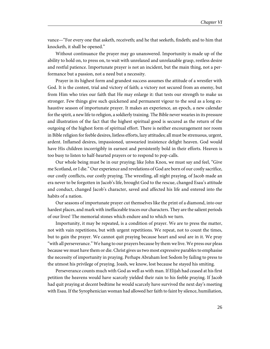vance—"For every one that asketh, receiveth; and he that seeketh, findeth; and to him that knocketh, it shall be opened."

Without continuance the prayer may go unanswered. Importunity is made up of the ability to hold on, to press on, to wait with unrelaxed and unrelaxable grasp, restless desire and restful patience. Importunate prayer is not an incident, but the main thing, not a performance but a passion, not a need but a necessity.

Prayer in its highest form and grandest success assumes the attitude of a wrestler with God. It is the contest, trial and victory of faith; a victory not secured from an enemy, but from Him who tries our faith that He may enlarge it: that tests our strength to make us stronger. Few things give such quickened and permanent vigour to the soul as a long exhaustive season of importunate prayer. It makes an experience, an epoch, a new calendar for the spirit, a new life to religion, a soldierly training. The Bible never wearies in its pressure and illustration of the fact that the highest spiritual good is secured as the return of the outgoing of the highest form of spiritual effort. There is neither encouragement nor room in Bible religion for feeble desires, listless efforts, lazy attitudes; all must be strenuous, urgent, ardent. Inflamed desires, impassioned, unwearied insistence delight heaven. God would have His children incorrigibly in earnest and persistently bold in their efforts. Heaven is too busy to listen to half-hearted prayers or to respond to pop-calls.

Our whole being must be in our praying; like John Knox, we must say and feel, "Give me Scotland, or I die." Our experience and revelations of God are born of our costly sacrifice, our costly conflicts, our costly praying. The wrestling, all night praying, of Jacob made an era never to be forgotten in Jacob's life, brought God to the rescue, changed Esau's attitude and conduct, changed Jacob's character, saved and affected his life and entered into the habits of a nation.

Our seasons of importunate prayer cut themselves like the print of a diamond, into our hardest places, and mark with ineffaceable traces our characters. They are the salient periods of our lives! The memorial stones which endure and to which we turn.

Importunity, it may be repeated, is a condition of prayer. We are to press the matter, not with vain repetitions, but with urgent repetitions. We repeat, not to count the times, but to gain the prayer. We cannot quit praying because heart and soul are in it. We pray "with all perseverance." We hang to our prayers because by them we live. We press our pleas because we must have them or die. Christ gives us two most expressive parables to emphasise the necessity of importunity in praying. Perhaps Abraham lost Sodom by failing to press to the utmost his privilege of praying. Joash, we know, lost because he stayed his smiting.

Perseverance counts much with God as well as with man. If Elijah had ceased at his first petition the heavens would have scarcely yielded their rain to his feeble praying. If Jacob had quit praying at decent bedtime he would scarcely have survived the next day's meeting with Esau. If the Syrophenician woman had allowed her faith to faint by silence, humiliation,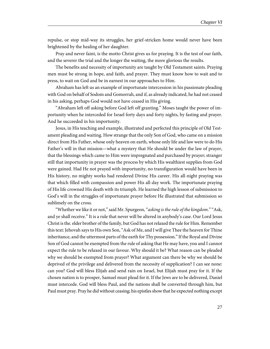repulse, or stop mid-way its struggles, her grief-stricken home would never have been brightened by the healing of her daughter.

Pray and never faint, is the motto Christ gives us for praying. It is the test of our faith, and the severer the trial and the longer the waiting, the more glorious the results.

The benefits and necessity of importunity are taught by Old Testament saints. Praying men must be strong in hope, and faith, and prayer. They must know how to wait and to press, to wait on God and be in earnest in our approaches to Him.

Abraham has left us an example of importunate intercession in his passionate pleading with God on behalf of Sodom and Gomorrah, and if, as already indicated, he had not ceased in his asking, perhaps God would not have ceased in His giving.

"Abraham left off asking before God left off granting." Moses taught the power of importunity when he interceded for Israel forty days and forty nights, by fasting and prayer. And he succeeded in his importunity.

Jesus, in His teaching and example, illustrated and perfected this principle of Old Testament pleading and waiting. How strange that the only Son of God, who came on a mission direct from His Father, whose only heaven on earth, whose only life and law were to do His Father's will in that mission—what a mystery that He should be under the law of prayer, that the blessings which came to Him were impregnated and purchased by prayer; stranger still that importunity in prayer was the process by which His wealthiest supplies from God were gained. Had He not prayed with importunity, no transfiguration would have been in His history, no mighty works had rendered Divine His career. His all-night praying was that which filled with compassion and power His all-day work. The importunate praying of His life crowned His death with its triumph. He learned the high lesson of submission to God's will in the struggles of importunate prayer before He illustrated that submission so sublimely on the cross.

"Whether we like it or not," said Mr. Spurgeon, "asking is the rule of the kingdom." "Ask, and ye shall receive." It is a rule that never will be altered in anybody's case. Our Lord Jesus Christ is the. elder brother of the family, but God has not relaxed the rule for Him. Remember this text: Jehovah says to His own Son, "Ask of Me, and I will give Thee the heaven for Thine inheritance, and the uttermost parts of the earth for Thy possession." If the Royal and Divine Son of God cannot be exempted from the rule of asking that He may have, you and I cannot expect the rule to be relaxed in our favour. Why should it be? What reason can be pleaded why we should be exempted from prayer? What argument can there be why we should be deprived of the privilege and delivered from the necessity of supplication? I can see none: can you? God will bless Elijah and send rain on Israel, but Elijah must pray for it. If the chosen nation is to prosper, Samuel must plead for it. If the Jews are to be delivered, Daniel must intercede. God will bless Paul, and the nations shall be converted through him, but Paul must pray. Pray he did without ceasing; his epistles show that he expected nothing except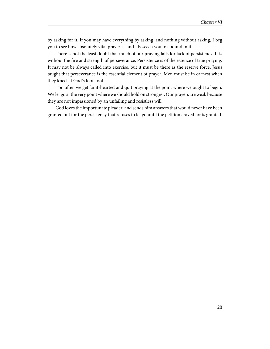by asking for it. If you may have everything by asking, and nothing without asking, I beg you to see how absolutely vital prayer is, and I beseech you to abound in it."

There is not the least doubt that much of our praying fails for lack of persistency. It is without the fire and strength of perseverance. Persistence is of the essence of true praying. It may not be always called into exercise, but it must be there as the reserve force. Jesus taught that perseverance is the essential element of prayer. Men must be in earnest when they kneel at God's footstool.

Too often we get faint-hearted and quit praying at the point where we ought to begin. We let go at the very point where we should hold on strongest. Our prayers are weak because they are not impassioned by an unfailing and resistless will.

God loves the importunate pleader, and sends him answers that would never have been granted but for the persistency that refuses to let go until the petition craved for is granted.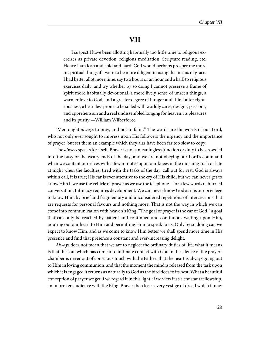#### **VII**

<span id="page-32-0"></span>I suspect I have been allotting habitually too little time to religious exercises as private devotion, religious meditation, Scripture reading, etc. Hence I am lean and cold and hard. God would perhaps prosper me more in spiritual things if I were to be more diligent in using the means of grace. I had better allot more time, say two hours or an hour and a half, to religious exercises daily, and try whether by so doing I cannot preserve a frame of spirit more habitually devotional, a more lively sense of unseen things, a warmer love to God, and a greater degree of hunger and thirst after righteousness, a heart less prone to be soiled with worldly cares, designs, passions, and apprehension and a real undissembled longing for heaven, its pleasures and its purity.—William Wilberforce

"Men ought *always* to pray, and not to faint." The words are the words of our Lord, who not only ever sought to impress upon His followers the urgency and the importance of prayer, but set them an example which they alas have been far too slow to copy.

The *always* speaks for itself. Prayer is not a meaningless function or duty to be crowded into the busy or the weary ends of the day, and we are not obeying our Lord's command when we content ourselves with a few minutes upon our knees in the morning rush or late at night when the faculties, tired with the tasks of the day, call out for rest. God is always within call, it is true; His ear is ever attentive to the cry of His child, but we can never get to know Him if we use the vehicle of prayer as we use the telephone—for a few words of hurried conversation. Intimacy requires development. We can never know God as it is our privilege to know Him, by brief and fragmentary and unconsidered repetitions of intercessions that are requests for personal favours and nothing more. That is not the way in which we can come into communication with heaven's King. "The goal of prayer is the ear of God," a goal that can only be reached by patient and continued and continuous waiting upon Him, pouring out our heart to Him and permitting Him to speak to us. Only by so doing can we expect to know Him, and as we come to know Him better we shall spend more time in His presence and find that presence a constant and ever-increasing delight.

Always does not mean that we are to neglect the ordinary duties of life; what it means is that the soul which has come into intimate contact with God in the silence of the prayerchamber is never out of conscious touch with the Father, that the heart is always going out to Him in loving communion, and that the moment the mind is released from the task upon which it is engaged it returns as naturally to God as the bird does to its nest. What a beautiful conception of prayer we get if we regard it in this light, if we view it as a constant fellowship, an unbroken audience with the King. Prayer then loses every vestige of dread which it may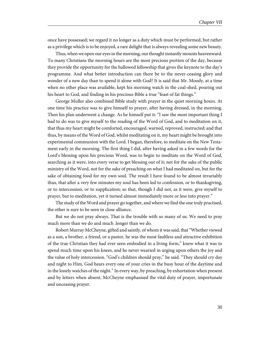once have possessed; we regard it no longer as a duty which must be performed, but rather as a privilege which is to be enjoyed, a rare delight that is always revealing some new beauty.

Thus, when we open our eyes in the morning, our thought instantly mounts heavenward. To many Christians the morning hours are the most precious portion of the day, because they provide the opportunity for the hallowed fellowship that gives the keynote to the day's programme. And what better introduction can there be to the never-ceasing glory and wonder of a new day than to spend it alone with God? It is said that Mr. Moody, at a time when no other place was available, kept his morning watch in the coal-shed, pouring out his heart to God, and finding in his precious Bible a true "feast of fat things."

George Muller also combined Bible study with prayer in the quiet morning hours. At one time his practice was to give himself to prayer, after having dressed, in the morning. Then his plan underwent a change. As he himself put it: "I saw the most important thing I had to do was to give myself to the reading of the Word of God, and to meditation on it, that thus my heart might be comforted, encouraged, warned, reproved, instructed; and that thus, by means of the Word of God, whilst meditating on it, my heart might be brought into experimental communion with the Lord. I began, therefore, to meditate on the New Testament early in the morning. The first thing I did, after having asked in a few words for the Lord's blessing upon his precious Word, was to begin to meditate on the Word of God, searching as it were, into every verse to get blessing out of it; not for the sake of the public ministry of the Word, not for the sake of preaching on what I had meditated on, but for the sake of obtaining food for my own soul. The result I have found to be almost invariably thus, that after a very few minutes my soul has been led to confession, or to thanksgiving, or to intercession, or to supplication; so that, though I did not, as it were, give myself to prayer, but to meditation, yet it turned almost immediately more or less into prayer."

The study of the Word and prayer go together, and where we find the one truly practised, the other is sure to be seen in close alliance.

But we do not pray always. That is the trouble with so many of us. We need to pray much more than we do and much .longer than we do.

Robert Murray McCheyne, gifted and saintly, of whom it was said, that "Whether viewed as a son, a brother, a friend, or a pastor, he was the most faultless and attractive exhibition of the true Christian they had ever seen embodied in a living form," knew what it was to spend much time upon his knees, and he never wearied in urging upon others the joy and the value of holy intercession. "God's children should pray," he said. "They should cry day and night to Him, God hears every one of your cries in the busy hour of the daytime and in the lonely watches of the night." In every way, by preaching, by exhortation when present and by letters when absent, McCheyne emphasised the vital duty of prayer, importunate and unceasing prayer.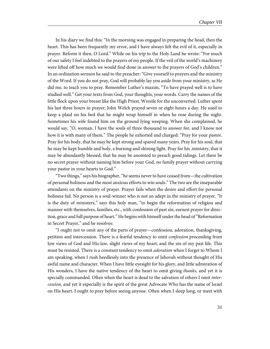In his diary we find this: "In the morning was engaged in preparing the head, then the heart. This has been frequently my error, and I have always felt the evil of it, especially in prayer. Reform it then, O Lord." While on his trip to the Holy Land he wrote: "For much of our safety I feel indebted to the prayers of my people. If the veil of the world's machinery were lifted off how much we would find done in answer to the prayers of God's children." In an ordination sermon he said to the preacher: "Give yourself to prayers and the ministry of the Word. If you do not pray, God will probably lay you aside from your ministry, as He did me, to teach you to pray. Remember Luther's maxim, "To have prayed well is to have studied well." Get your texts from God, your thoughts, your words. Carry the names of the little flock upon your breast like the High Priest. Wrestle for the unconverted. Luther spent his last three hours in prayer; John Welch prayed seven or eight hours a day. He used to keep a plaid on his bed that he might wrap himself in when he rose during the night. Sometimes his wife found him on the ground lying weeping. When she complained, he would say, "O, woman, I have the souls of three thousand to answer for, and I know not how it is with many of them." The people he exhorted and charged: "Pray for your pastor. Pray for his body, that he may be kept strong and spared many years. Pray for his soul, that he may be kept humble and holy, a burning and shining light. Pray for his .ministry, that it may be abundantly blessed, that he may be anointed to preach good tidings. Let there be no secret prayer without naming him before your God, no family prayer without carrying your pastor in your hearts to God."

"Two things," says his biographer, "he seems never to have ceased from—the cultivation of personal holiness and the most anxious efforts to win souls." The two are the inseparable attendants on the ministry of prayer. Prayer fails when the desire and effort for personal holiness fail. No person is a soul-winner who is not an adept in the ministry of prayer. "It is the duty of ministers," says this holy man, "to begin the reformation of religion and manner with themselves, families, etc., with confession of past sin, earnest prayer for direction, grace and full purpose of heart." He begins with himself under the head of "Reformation in Secret Prayer," and he resolves:

"I ought not to omit any of the parts of prayer—confession, adoration, thanksgiving, petition and intercession. There is a fearful tendency to omit confession proceeding from low views of God and His law, slight views of my heart, and the sin of my past life. This must be resisted. There is a constant tendency to omit *adoration* when I forget to Whom I am speaking, when I rush heedlessly into the presence of Jehovah without thought of His awful name and character. When I have little eyesight for his glory, and little admiration of His wonders, I have the native tendency of the heart to omit giving *thanks*, and yet it is specially commanded. Often when the heart is dead to the salvation of others I omit intercession, and yet it especially is the spirit of the great Advocate Who has the name of Israel on His heart. I ought to pray before seeing anyone. Often when I sleep long, or meet with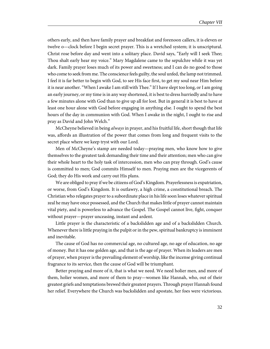others early, and then have family prayer and breakfast and forenoon callers, it is eleven or twelve o—clock before I begin secret prayer. This is a wretched system; it is unscriptural. Christ rose before day and went into a solitary place. David says, "Early will I seek Thee; Thou shalt early hear my voice." Mary Magdalene came to the sepulchre while it was yet dark. Family prayer loses much of its power and sweetness; and I can do no good to those who come to seek from me. The conscience feels guilty, the soul unfed, the lamp not trimmed. I feel it is far better to begin with God, to see His face first, to get my soul near Him before it is near another. "When I awake I am still with Thee." If I have slept too long, or I am going an early journey, or my time is in any way shortened, it is best to dress hurriedly and to have a few minutes alone with God than to give up all for lost. But in general it is best to have at least one hour alone with God before engaging in anything else. I ought to spend the best hours of the day in communion with God. When I awake in the night, I ought to rise and pray as David and John Welch."

McCheyne believed in being always in prayer, and his fruitful life, short though that life was, affords an illustration of the power that comes from long and frequent visits to the secret place where we keep tryst with our Lord.

Men of McCheyne's stamp are needed today—praying men, who know how to give themselves to the greatest task demanding their time and their attention; men who can give their whole heart to the holy task of intercession, men who can pray through. God's cause is committed to men; God commits Himself to men. Praying men are the vicegerents of God; they do His work and carry out His plans.

We are obliged to pray if we be citizens of God's Kingdom. Prayerlessness is expatriation, or worse, from God's Kingdom. It is outlawry, a high crime, a constitutional breach. The Christian who relegates prayer to a subordinate place in his life soon loses whatever spiritual zeal he may have once possessed, and the Church that makes little of prayer cannot maintain vital piety, and is powerless to advance the Gospel. The Gospel cannot live, fight, conquer without prayer—prayer unceasing, instant and ardent.

Little prayer is the characteristic of a backslidden age and of a backslidden Church. Whenever there is little praying in the pulpit or in the pew, spiritual bankruptcy is imminent and inevitable.

The cause of God has no commercial age, no cultured age, no age of education, no age of money. But it has one golden age, and that is the age of prayer. When its leaders are men of prayer, when prayer is the prevailing element of worship, like the incense giving continual fragrance to its service, then the cause of God will be triumphant.

Better praying and more of it, that is what we need. We need holier men, and more of them, holier women, and more of them to pray—women like Hannah, who, out of their greatest griefs and temptations brewed their greatest prayers. Through prayer Hannah found her relief. Everywhere the Church was backslidden and apostate, her foes were victorious.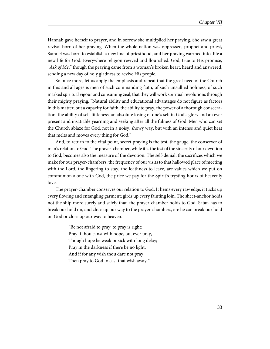Hannah gave herself to prayer, and in sorrow she multiplied her praying. She saw a great revival born of her praying. When the whole nation was oppressed, prophet and priest, Samuel was born to establish a new line of priesthood, and her praying warmed into. life a new life for God. Everywhere religion revived and flourished. God, true to His promise, "Ask of Me," though the praying came from a woman's broken heart, heard and answered, sending a new day of holy gladness to revive His people.

So once more, let us apply the emphasis and repeat that the great need of the Church in this and all ages is men of such commanding faith, of such unsullied holiness, of such marked spiritual vigour and consuming zeal, that they will work spiritual revolutions through their mighty praying. "Natural ability and educational advantages do not figure as factors in this matter; but a capacity for faith, the ability to pray, the power of a thorough consecration, the ability of self-littleness, an absolute losing of one's self in God's glory and an ever present and insatiable yearning and seeking after all the fulness of God. Men who can set the Church ablaze for God, not in a noisy, showy way, but with an intense and quiet heat that melts and moves every thing for God."

And, to return to the vital point, secret praying is the test, the gauge, the conserver of man's relation to God. The prayer-chamber, while it is the test of the sincerity of our devotion to God, becomes also the measure of the devotion. The self-denial, the sacrifices which we make for our prayer-chambers, the frequency of our visits to that hallowed place of meeting with the Lord, the lingering to stay, the loathness to leave, are values which we put on communion alone with God, the price we pay for the Spirit's trysting hours of heavenly love.

The prayer-chamber conserves our relation to God. It hems every raw edge; it tucks up every flowing and entangling garment; girds up every fainting loin. The sheet-anchor holds not the ship more surely and safely than the prayer-chamber holds to God. Satan has to break our hold on, and close up our way to the prayer-chambers, ere he can break our hold on God or close up our way to heaven.

> "Be not afraid to pray; to pray is right; Pray if thou canst with hope, but ever pray, Though hope be weak or sick with long delay; Pray in the darkness if there be no light; And if for any wish thou dare not pray Then pray to God to cast that wish away."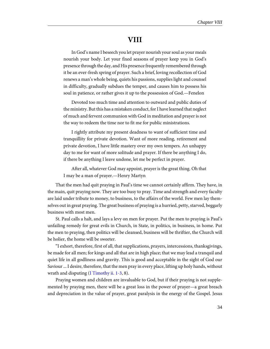## **VIII**

In God's name I beseech you let prayer nourish your soul as your meals nourish your body. Let your fixed seasons of prayer keep you in God's presence through the day, and His presence frequently remembered through it be an ever-fresh spring of prayer. Such a brief, loving recollection of God renews a man's whole being, quiets his passions, supplies light and counsel in difficulty, gradually subdues the temper, and causes him to possess his soul in patience, or rather gives it up to the possession of God.—Fenelon

Devoted too much time and attention to outward and public duties of the ministry. But this has a mistaken conduct, for I have learned that neglect of much and fervent communion with God in meditation and prayer is not the way to redeem the time nor to fit me for public ministrations.

I rightly attribute my present deadness to want of sufficient time and tranquillity for private devotion. Want of more reading, retirement and private devotion, I have little mastery over my own tempers. An unhappy day to me for want of more solitude and prayer. If there be anything I do, if there be anything I leave undone, let me be perfect in prayer.

After all, whatever God may appoint, prayer is the great thing. Oh that I may be a man of prayer.—Henry Martyn

That the men had quit praying in Paul's time we cannot certainly affirm. They have, in the main, quit praying now. They are too busy to pray. Time and strength and every faculty are laid under tribute to money, to business, to the affairs of the world. Few men lay themselves out in great praying. The great business of praying is a hurried, petty, starved, beggarly business with most men.

St. Paul calls a halt, and lays a levy on men for prayer. Put the men to praying is Paul's unfailing remedy for great evils in Church, in State, in politics, in business, in home. Put the men to praying, then politics will be cleansed, business will be thriftier, the Church will be holier, the home will be sweeter.

"I exhort, therefore, first of all, that supplications, prayers, intercessions, thanksgivings, be made for all men; for kings and all that are in high place; that we may lead a tranquil and quiet life in all godliness and gravity. This is good and acceptable in the sight of God our Saviour ... I desire, therefore, that the men pray in every place, lifting up holy hands, without wrath and disputing ([I Timothy ii. 1-3](http://www.ccel.org/study/Bible:1Tim.2.1-1Tim.2.3), 8).

Praying women and children are invaluable to God, but if their praying is not supplemented by praying men, there will be a great loss in the power of prayer—a great breach and depreciation in the value of prayer, great paralysis in the energy of the Gospel. Jesus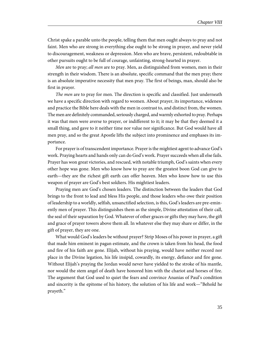Christ spake a parable unto the people, telling them that men ought always to pray and not faint. Men who are strong in everything else ought to be strong in prayer, and never yield to discouragement, weakness or depression. Men who are brave, persistent, redoubtable in other pursuits ought to be full of courage, unfainting, strong-hearted in prayer.

Men are to pray; all men are to pray. Men, as distinguished from women, men in their strength in their wisdom. There is an absolute, specific command that the men pray; there is an absolute imperative necessity that men pray. The first of beings, man, should also be first in prayer.

The men are to pray for men. The direction is specific and classified. Just underneath we have a specific direction with regard to women. About prayer, its importance, wideness and practice the Bible here deals with the men in contrast to, and distinct from, the women. The men are definitely commanded, seriously charged, and warmly exhorted to pray. Perhaps it was that men were averse to prayer, or indifferent to it; it may be that they deemed it a small thing, and gave to it neither time nor value nor significance. But God would have all men pray, and so the great Apostle lifts the subject into prominence and emphases its importance.

For prayer is of transcendent importance. Prayer is the mightiest agent to advance God's work. Praying hearts and hands only can do God's work. Prayer succeeds when all else fails. Prayer has won great victories, and rescued, with notable triumph, God's saints when every other hope was gone. Men who know how to pray are the greatest boon God can give to earth—they are the richest gift earth can offer heaven. Men who know how to use this weapon of prayer are God's best soldiers. His mightiest leaders.

Praying men are God's chosen leaders. The distinction between the leaders that God brings to the front to lead and bless His people, and those leaders who owe their position of leadership to a worldly, selfish, unsanctified selection, is this, God's leaders are pre-eminently men of prayer. This distinguishes them as the simple, Divine attestation of their call, the seal of their separation by God. Whatever of other graces or gifts they may have, the gift and grace of prayer towers above them all. In whatever else they may share or differ, in the gift of prayer, they are one.

What would God's leaders be without prayer? Strip Moses of his power in prayer, a gift that made him eminent in pagan estimate, and the crown is taken from his head, the food and fire of his faith are gone. Elijah, without his praying, would have neither record nor place in the Divine legation, his life insipid, cowardly, its energy, defiance and fire gone. Without Elijah's praying the Jordan would never have yielded to the stroke of his mantle, nor would the stem angel of death have honored him with the chariot and horses of fire. The argument that God used to quiet the fears and convince Ananias of Paul's condition and sincerity is the epitome of his history, the solution of his life and work—"Behold he prayeth."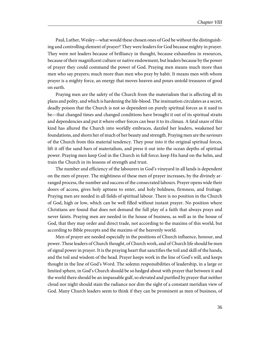Paul, Luther, Wesley—what would these chosen ones of God be without the distinguishing and controlling element of prayer? They were leaders for God because mighty in prayer. They were not leaders because of brilliancy in thought, because exhaustless in resources, because of their magnificent culture or native endowment, but leaders because by the power of prayer they could command the power of God. Praying men means much more than men who say prayers; much more than men who pray by habit. It means men with whom prayer is a mighty force, an energy that moves heaven and pours untold treasures of good on earth.

Praying men are the safety of the Church from the materialism that is affecting all its plans and polity, and which is hardening the life-blood. The insinuation circulates as a secret, deadly poison that the Church is not so dependent on purely spiritual forces as it used to be—that changed times and changed conditions have brought it out of its spiritual straits and dependencies and put it where other forces can bear it to its climax. A fatal snare of this kind has allured the Church into worldly embraces, dazzled her leaders, weakened her foundations, and shorn her of much of her beauty and strength. Praying men are the saviours of the Church from this material tendency. They pour into it the original spiritual forces, lift it off the sand-bars of materialism, and press it out into the ocean depths of spiritual power. Praying men keep God in the Church in full force; keep His hand on the helm, and train the Church in its lessons of strength and trust.

The number and efficiency of the labourers in God's vineyard in all lands is dependent on the men of prayer. The mightiness of these men of prayer increases, by the divinely arranged process, the number and success of the consecrated labours. Prayer opens wide their doors of access, gives holy aptness to enter, and holy boldness, firmness, and fruitage. Praying men are needed in all fields of spiritual labour. There is no position in the Church of God, high or low, which can be well filled without instant prayer. No position where Christians are found that does not demand the full play of a faith that always prays and never faints. Praying men are needed in the house of business, as well as in the house of God, that they may order and direct trade, not according to the maxims of this world, but according to Bible precepts and the maxims of the heavenly world.

Men of prayer are needed especially in the positions of Church influence, honour, and power. These leaders of Church thought, of Church work, and of Church life should be men of signal power in prayer. It is the praying heart that sanctifies the toil and skill of the hands, and the toil and wisdom of the head. Prayer keeps work in the line of God's will, and keeps thought in the line of God's Word. The solemn responsibilities of leadership, in a large or limited sphere, in God's Church should be so hedged about with prayer that between it and the world there should be an impassable gulf, so elevated and purified by prayer that neither cloud nor night should stain the radiance nor dim the sight of a constant meridian view of God. Many Church leaders seem to think if they can be prominent as men of business, of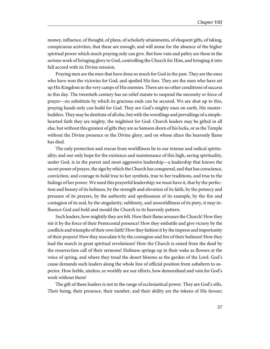money, influence, of thought, of plans, of scholarly attainments, of eloquent gifts, of taking, conspicuous activities, that these are enough, and will atone for the absence of the higher spiritual power which much praying only can give. But how vain and paltry are these in the serious work of bringing glory to God, controlling the Church for Him, and bringing it into full accord with its Divine mission.

Praying men are the men that have done so much for God in the past. They are the ones who have won the victories for God, and spoiled His foes. They are the ones who have set up His Kingdom in the very camps of His enemies. There are no other conditions of success in this day. The twentieth century has no relief statute to suspend the necessity or force of prayer—no substitute by which its gracious ends can be secured. We are shut up to this, praying hands only can build for God. They are God's mighty ones on earth, His masterbuilders. They may be destitute of all else, but with the wrestlings and prevailings of a simplehearted faith they are mighty, the mightiest for God. Church leaders may be gifted in all else, but without this greatest of gifts they are as Samson shorn of his locks, or as the Temple without the Divine presence or the Divine glory, and on whose altars the heavenly flame has died.

The only protection and rescue from worldliness lie in our intense and radical spirituality; and our only hope for the existence and maintenance of this high, saving spirituality, under God, is in the purest and most aggressive leadership—a leadership that knows the secret power of prayer, the sign by which the Church has conquered, and that has conscience, conviction, and courage to hold true to her symbols, true to her traditions, and true to the hidings of her power. We need this prayerful leadership; we must have it, that by the perfection and beauty of its holiness, by the strength and elevation of its faith, by the potency and pressure of its prayers, by the authority and spotlessness of its example, by the fire and contagion of its zeal, by the singularity, sublimity, and unworldliness of its piety, it may influence God and hold and mould the Church to its heavenly pattern.

Such leaders, how mightily they are felt. How their flame arouses the Church! How they stir it by the force of their Pentecostal presence! How they embattle and give victory by the conflicts and triumphs of their own faith! How they fashion it by the impress and importunity of their prayers! How they inoculate it by the contagion and fire of their holiness! How they lead the march in great spiritual revolutions! How the Church is raised from the dead by the resurrection call of their sermons! Holiness springs up in their wake as flowers at the voice of spring, and where they tread the desert blooms as the garden of the Lord. God's cause demands such leaders along the whole line of official position from subaltern to superior. How feeble, aimless, or worldly are our efforts, how demoralised and vain for God's work without them!

The gift of these leaders is not in the range of ecclesiastical power. They are God's sifts. Their being, their presence, their number, and their ability are the tokens of His favour;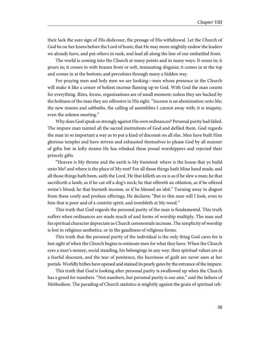their lack the sure sign of His disfavour, the presage of His withdrawal. Let the Church of God be on her knees before the Lord of hosts, that He may more mightily endow the leaders we already have, and put others in rank, and lead all along the line of our embattled front.

The world is coming into the Church at many points and in many ways. It oozes in; it pours in; it comes in with brazen front or soft, insinuating disguise; it comes in at the top and comes in at the bottom; and percolates through many a hidden way.

For praying men and holy men we are looking—men whose presence in the Church will make it like a censer of holiest incense flaming up to God. With God the man counts for everything. Rites, forms, organizations are of small moment; unless they are backed by the holiness of the man they are offensive in His sight. "Incense is an abomination unto Me; the new moons and sabbaths, the calling of assemblies I cannot away with; it is iniquity, even the solemn meeting."

Why does God speak so strongly against His own ordinances? Personal purity had failed. The impure man tainted all the sacred institutions of God and defiled them. God regards the man in so important a way as to put a kind of discount on all else. Men have built Him glorious temples and have striven and exhausted themselves to please God by all manner of gifts; but in lofty strains He has rebuked these proud worshippers and rejected their princely gifts.

"Heaven is My throne and the earth is My footstool: where is the house that ye build unto Me? and where is the place of My rest? For all those things hath Mine hand made, and all those things hath been, saith the Lord. He that killeth an ox is as if he slew a man; he that sacrificeth a lamb, as if he cut off a dog's neck; he that offereth an oblation, as if he offered swine's blood; he that burneth incense, as if he blessed an idol." Turning away in disgust from these costly and profane offerings, He declares: "But to this man will I look, even to him that is poor and of a contrite spirit, and trembleth at My word."

This truth that God regards the personal purity of the man is fundamental. This truth suffers when ordinances are made much of and forms of worship multiply. The man and his spiritual character depreciate as Church ceremonials increase. The simplicity of worship is lost in religious aesthetics, or in the gaudiness of religious forms.

This truth that the personal purity of the individual is the only thing God cares for is lost sight of when the Church begins to estimate men for what they have. When the Church eyes a man's money, social standing, his belongings in any way, then spiritual values are at a fearful discount, and the tear of penitence, the heaviness of guilt are never seen at her portals. Worldly bribes have opened and stained its pearly gates by the entrance of the impure.

This truth that God is looking after personal purity is swallowed up when the Church has a greed for numbers. "Not numbers, but personal purity is our aim," said the fathers of Methodism. The parading of Church statistics is mightily against the grain of spiritual reli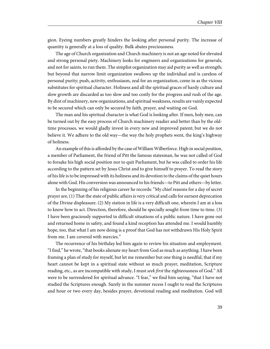gion. Eyeing numbers greatly hinders the looking after personal purity. The increase of quantity is generally at a loss of quality. Bulk abates preciousness.

The age of Church organization and Church machinery is not an age noted for elevated and strong personal piety. Machinery looks for engineers and organizations for generals, and not for saints, to run them. The simplist organization may aid purity as well as strength; but beyond that narrow limit organization swallows up the individual and is careless of personal purity; push, activity, enthusiasm, zeal for an organization, come in as the vicious substitutes for spiritual character. Holiness and all the spiritual graces of hardy culture and slow growth are discarded as too slow and too costly for the progress and rush of the age. By dint of machinery, new organizations, and spiritual weakness, results are vainly expected to be secured which can only be secured by faith, prayer, and waiting on God.

The man and his spiritual character is what God is looking after. If men, holy men, can be turned out by the easy process of Church machinery readier and better than by the oldtime processes, we would gladly invest in every new and improved patent; but we do not believe it. We adhere to the old way—the way the holy prophets went, the king's highway of holiness.

An example of this is afforded by the case of William Wilberforce. High in social position, a member of Parliament, the friend of Pitt the famous statesman, he was not called of God to forsake his high social position nor to quit Parliament, but he was called to order his life according to the pattern set by Jesus Christ and to give himself to prayer. To read the story of his life is to be impressed with its holiness and its devotion to the claims of the quiet hours alone with God. His conversion was announced to his friends—to Pitt and others—by letter.

In the beginning of his religious career he records: "My chief reasons for a day of secret prayer are, (1) That the state of public affairs is very critical and calls for earnest deprecation of the Divine displeasure. (2) My station in life is a very difficult one, wherein I am at a loss to know how to act. Direction, therefore, should be specially sought from time to time. (3) I have been graciously supported in difficult situations of a public nature. I have gone out and returned home in safety, and found a kind reception has attended me. I would humbly hope, too, that what I am now doing is a proof that God has not withdrawn His Holy Spirit from me. I am covered with mercies."

The recurrence of his birthday led him again to review his situation and employment. "I find," he wrote, "that books alienate my heart from God as much as anything. I have been framing a plan of study for myself, but let me remember but one thing is needful, that if my heart cannot be kept in a spiritual state without so much prayer, meditation, Scripture reading, etc., as are incompatible with study, I must *seek first* the righteousness of God." All were to be surrendered for spiritual advance. "I fear," we find him saying, "that I have not studied the Scriptures enough. Surely in the summer recess I ought to read the Scriptures and hour or two every day, besides prayer, devotional reading and meditation. God will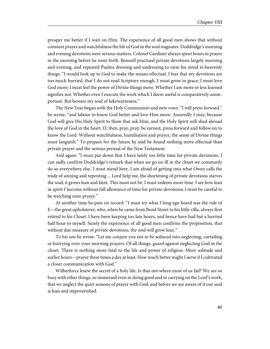prosper me better if I wait on Him. The experience of all good men shows that without constant prayer and watchfulness the life of God in the soul stagnates. Doddridge's morning and evening devotions were serious matters. Colonel Gardiner always spent hours in prayer in the morning before he went forth. Bonnell practised private devotions largely morning and evening, and repeated Psalms dressing and undressing to raise his mind to heavenly things. "I would look up to God to make the means effectual. I fear that my devotions are too much hurried, that I do not read Scripture enough. I must grow in grace; I must love God more; I must feel the power of Divine things more. Whether I am more or less learned signifies not. Whether even I execute the work which I deem useful is comparatively unimportant. But beware my soul of lukewarmness."

The New Year began with the Holy Communion and new vows. "I will press forward," he wrote, "and labour to know God better and love Him more. Assuredly I may, because God will give His Holy Spirit to them that ask Him, and the Holy Spirit will shed abroad the love of God in the heart. O, then, pray, pray; be earnest, press forward and follow on to know the Lord. Without watchfulness, humiliation and prayer, the sense of Divine things must languish." To prepare for the future he said he found nothing more effectual than private prayer and the serious perusal of the New Testament.

And again: "I must put down that I have lately too little time for private devotions. I can sadly confirm Doddridge's remark that when we go on ill in the closet we commonly do so everywhere else. I must mend here. I am afraid of getting into what Owen calls the trade of sinning and repenting ... Lord help me, the shortening of private devotions starves the soul; it grows lean and faint. This must not be. I must redeem more time. I see how lean in spirit I become without full allowance of time for private devotions; I must be careful to be watching unto prayer."

At another tune he puts on record: "I must try what I long ago heard was the rule of E—the great upholsterer, who, when he came from Bond Street to his little villa, always first retired to his Closet. I have been keeping too late hours, and hence have had but a hurried half hour to myself. Surely the experience of all good men confirms the proposition, that without due measure of private devotions, the soul will grow lean."

To his son he wrote: "Let me conjure you not to be seduced into neglecting, curtailing or hurrying over your morning prayers. Of all things, guard against neglecting God in the closet. There is nothing more fatal to the life and power of religion. More solitude and earlier hours—prayer three times a day at least. How much better might I serve if I cultivated a closer communication with God."

Wilberforce knew the secret of a holy life. Is that not where most of us fail? We are so busy with other things, so immersed even in doing good and in carrying on the Lord's work, that we neglect the quiet seasons of prayer with God, and before we are aware of it our soul is lean and impoverished.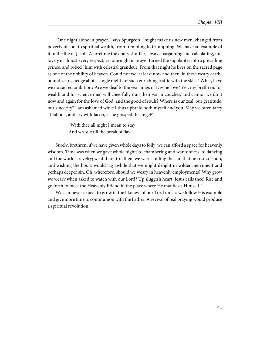"One night alone in prayer," says Spurgeon, "might make us new men, changed from poverty of soul to spiritual wealth, from trembling to triumphing. We have an example of it in the life of Jacob. A foretime the crafty shuffler, always bargaining and calculating, unlovely in almost every respect, yet one night in prayer turned the supplanter into a prevailing prince, and robed "him with celestial grandeur. From that night he lives on the sacred page as one of the nobility of heaven. Could not we, at least now and then, in these weary earthbound years, hedge abot a single night for such enriching traffic with the skies? What, have we no sacred ambition? Are we deaf to the yearnings of Divine love? Yet, my brethren, for wealth and for science men will cheerfully quit their warm couches, and cannot we do it now and again for the love of God, and the good of souls? Where is our zeal, our gratitude, our sincerity? I am ashamed while I thus upbraid both myself and you. May we often tarry at Jabbok, and cry with Jacob, as he grasped the angel?

> "With thee all night I mean to stay, And wrestle till the break of day."

Surely, brethren, if we have given whole days to folly, we can afford a space for heavenly wisdom. Time was when we gave whole nights to chambering and wantonness, to dancing and the world's revelry; we did not tire then; we were chiding the sun that he rose so soon, and wishing the hours would lag awhile that we might delight in wilder merriment and perhaps deeper sin. Oh, wherefore, should we weary in heavenly employments? Why grow we weary when asked to watch with our Lord? Up sluggish heart, Jesus calls thee! Rise and go forth to meet the Heavenly Friend in the place where He manifests Himself."

We can never expect to grow in the likeness of our Lord unless we follow His example and give more time to communion with the Father. A revival of real praying would produce a spiritual revolution.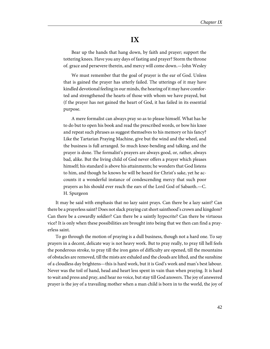## **IX**

Bear up the hands that hang down, by faith and prayer; support the tottering knees. Have you any days of fasting and prayer? Storm the throne of. grace and persevere therein, and mercy will come down.—John Wesley

We must remember that the goal of prayer is the ear of God. Unless that is gained the prayer has utterly failed. The utterings of it may have kindled devotional feeling in our minds, the hearing of it may have comforted and strengthened the hearts of those with whom we have prayed, but (f the prayer has not gained the heart of God, it has failed in its essential purpose.

A mere formalist can always pray so as to please himself. What has he to do but to open his book and read the prescribed words, or bow his knee and repeat such phrases as suggest themselves to his memory or his fancy? Like the Tartarian Praying Machine, give but the wind and the wheel, and the business is full arranged. So much knee-bending and talking, and the prayer is done. The formalist's prayers are always good, or, rather, always bad, alike. But the living child of God never offers a prayer which pleases himself; his standard is above his attainments; he wonders that God listens to him, and though he knows he will be heard for Christ's sake, yet he accounts it a wonderful instance of condescending mercy that such poor prayers as his should ever reach the ears of the Lord God of Sabaoth.—C. H. Spurgeon

It may be said with emphasis that no lazy saint prays. Can there be a lazy saint? Can there be a prayerless saint? Does not slack praying cut short sainthood's crown and kingdom? Can there be a cowardly soldier? Can there be a saintly hypocrite? Can there be virtuous vice? It is only when these possibilities are brought into being that we then can find a prayerless saint.

To go through the motion of praying is a dull business, though not a hard one. To say prayers in a decent, delicate way is not heavy work. But to pray really, to pray till hell feels the ponderous stroke, to pray till the iron gates of difficulty are opened, till the mountains of obstacles are removed, till the mists are exhaled and the clouds are lifted, and the sunshine of a cloudless day brightens—this is hard work, but it is God's work and man's best labour. Never was the toil of hand, head and heart less spent in vain than when praying. It is hard to wait and press and pray, and hear no voice, but stay till God answers. The joy of answered prayer is the joy of a travailing mother when a man child is born in to the world, the joy of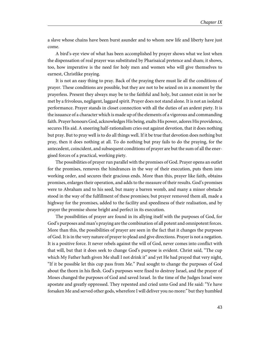a slave whose chains have been burst asunder and to whom new life and liberty have just come.

A bird's-eye view of what has been accomplished by prayer shows what we lost when the dispensation of real prayer was substituted by Pharisaical pretence and sham; it shows, too, how imperative is the need for holy men and women who will give themselves to earnest, Christlike praying.

It is not an easy thing to pray. Back of the praying there must lie all the conditions of prayer. These conditions are possible, but they are not to be seized on in a moment by the prayerless. Present they always may be to the faithful and holy, but cannot exist in nor be met by a frivolous, negligent, laggard spirit. Prayer does not stand alone. It is not an isolated performance. Prayer stands in closet connection with all the duties of an ardent piety. It is the issuance of a character which is made up of the elements of a vigorous and commanding faith. Prayer honours God, acknowledges His being, exalts His power, adores His providence, secures His aid. A sneering half-rationalism cries out against devotion, that it does nothing but pray. But to pray well is to do all things well. If it be true that devotion does nothing but pray, then it does nothing at all. To do nothing but pray fails to do the praying, for the antecedent, coincident, and subsequent conditions of prayer are but the sum of all the energised forces of a practical, working piety.

The possibilities of prayer run parallel with the promises of God. Prayer opens an outlet for the promises, removes the hindrances in the way of their execution, puts them into working order, and secures their gracious ends. More than this, prayer like faith, obtains promises, enlarges their operation, and adds to the measure of their results. God's promises were to Abraham and to his seed, but many a barren womb, and many a minor obstacle stood in the way of the fulfillment of these promises; but prayer removed them all, made a highway for the promises, added to the facility and speediness of their realisation, and by prayer the promise shone bright and perfect in its execution.

The possibilities of prayer are found in its allying itself with the purposes of God, for God's purposes and man's praying are the combination of all potent and omnipotent forces. More than this, the possibilities of prayer are seen in the fact that it changes the purposes of God. It is in the very nature of prayer to plead and give directions. Prayer is not a negation. It is a positive force. It never rebels against the will of God, never comes into conflict with that will, but that it does seek to change God's purpose is evident. Christ said, "The cup which My Father hath given Me shall I not drink it" and yet He had prayed that very night, "If it be possible let this cup pass from Me." Paul sought to change the purposes of God about the thorn in his flesh. God's purposes were fixed to destroy Israel, and the prayer of Moses changed the purposes of God and saved Israel. In the time of the Judges Israel were apostate and greatly oppressed. They repented and cried unto God and He said: "Ye have forsaken Me and served other gods, wherefore I will deliver you no more:" but they humbled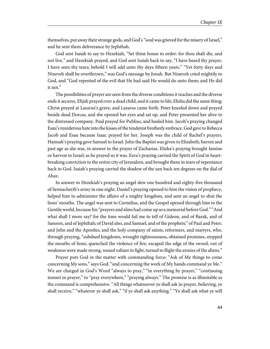themselves, put away their strange gods, and God's "soul was grieved for the misery of Israel," and he sent them deliverance by Jephthah.

God sent Isaiah to say to Hezekiah, "Set thine house in order: for thou shalt die, and not live." and Hezekiah prayed, and God sent Isaiah back to say, "I have heard thy prayer, I have seen thy tears; behold I will add unto thy days fifteen years." "Yet forty days and Nineveh shall be overthrown," was God's message by Jonah. But Nineveh cried mightily to God, and "God repented of the evil that He had said He would do unto them; and He did it not."

The possibilities of prayer are seen from the diverse conditions it reaches and the diverse ends it secures. Elijah prayed over a dead child, and it came to life; Elisha did the same thing; Christ prayed at Lazarus's grave, and Lazarus came forth. Peter kneeled down and prayed beside dead Dorcas, and she opened her eyes and sat up, and Peter presented her alive to the distressed company. Paul prayed for Publius, and healed him. Jacob's praying changed Esau's murderous hate into the kisses of the tenderest brotherly embrace. God gave to Rebecca Jacob and Esau because Isaac prayed for her. Joseph was the child of Rachel's prayers. Hannah's praying gave Samuel to Israel. John the Baptist was given to Elizabeth, barren and past age as she was, in answer to the prayer of Zacharias. Elisha's praying brought famine or harvest to Israel; as he prayed so it was. Ezra's praying carried the Spirit of God in heartbreaking conviction to the entire city of Jerusalem, and brought them in tears of repentance back to God. Isaiah's praying carried the shadow of the sun back ten degrees on the dial of Ahaz.

In answer to Hezekiah's praying an angel slew one hundred and eighty-five thousand of Sennacherib's army in one night. Daniel's praying opened to him the vision of prophecy, helped him to administer the affairs of a mighty kingdom, and sent an angel to shut the lions' mouths. The angel was sent to Cornelius, and the Gospel opened through him to the Gentile world, because his "prayers and alms had come up as a memorial before God." "And what shall I more say? for the time would fail me to tell of Gideon, and of Barak, and of Samson, and of Jephthah; of David also, and Samuel, and of the prophets;" of Paul and Peter, and John and the Apostles, and the holy company of saints, reformers, and martyrs, who, through praying, "subdued kingdoms, wrought righteousness, obtained promises, stopped the mouths of lions, quenched the violence of fire, escaped the edge of the sword, out of weakness were made strong, waxed valiant in fight, turned to flight the armies of the aliens."

Prayer puts God in the matter with commanding force: "Ask of Me things to come concerning My sons," says God, "and concerning the work of My hands command ye Me." We are charged in God's Word "always to pray," "in everything by prayer," "continuing instant in prayer," to "pray everywhere," "praying always." The promise is as illimitable as the command is comprehensive. "All things whatsoever ye shall ask in prayer, believing, ye shall receive," "whatever ye shall ask," "if ye shall ask anything." "Ye shall ask what ye will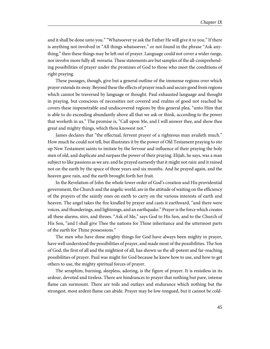and it shall be done unto you." "Whatsoever ye ask the Father He will give it to you." If there is anything not involved in "All things whatsoever," or not found in the phrase "Ask anything," then these things may be left out of prayer. Language could not cover a wider range, nor involve more fully all *minutia*. These statements are but samples of the all-comprehending possibilities of prayer under the promises of God to those who meet the conditions of right praying.

These passages, though, give but a general outline of the immense regions over which prayer extends its sway. Beyond these the effects of prayer reach and secure good from regions which cannot be traversed by language or thought. Paul exhausted language and thought in praying, but conscious of necessities not covered and realms of good not reached he covers these impenetrable and undiscovered regions by this general plea, "unto Him that is able to do exceeding abundantly above all that we ask or think, according to the power that worketh in us." The promise is, "Call upon Me, and I will answer thee, and show thee great and mighty things, which thou knowest not."

James declares that "the effectual, fervent prayer of a righteous man availeth much." How much he could not tell, but illustrates it by the power of Old Testament praying to stir up New Testament saints to imitate by the fervour and influence of their praying the holy men of old, and duplicate and surpass the power of their praying. Elijah, he says, was a man subject to like passions as we are, and he prayed earnestly that it might not rain: and it rained not on the earth by the space of three years and six months. And he prayed again, and the heaven gave rain, and the earth brought forth her fruit.

In the Revelation of John the whole lower order of God's creation and His providential government, the Church and the angelic world, are in the attitude of waiting on the efficiency of the prayers of the saintly ones on earth to carry on the various interests of earth and heaven. The angel takes the fire kindled by prayer and casts it earthward, "and there were voices, and thunderings, and lightnings, and an earthquake." Prayer is the force which creates all these alarms, stirs, and throes. "Ask of Me," says God to His Son, and to the Church of His Son, "and I shall give Thee the nations for Thine inheritance and the uttermost parts of the earth for Thine possessions."

The men who have done mighty things for God have always been mighty in prayer, have well understood the possibilities of prayer, and made most of the possibilities. The Son of God, the first of all and the mightiest of all, has shown us the all-potent and far-reaching possibilities of prayer. Paul was might for God because he knew how to use, and how to get others to use, the mighty spiritual forces of prayer.

The seraphim, burning, sleepless, adoring, is the figure of prayer. It is resistless in its ardour, devoted and tireless. There are hindrances to prayer that nothing but pure, intense flame can surmount. There are toils and outlays and endurance which nothing but the strongest, most ardent flame can abide. Prayer may be low-tongued, but it cannot be cold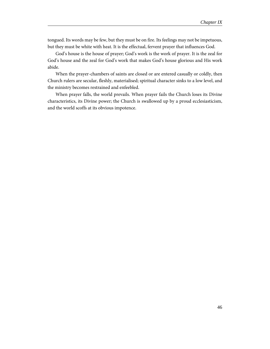tongued. Its words may be few, but they must be on fire. Its feelings may not be impetuous, but they must be white with heat. It is the effectual, fervent prayer that influences God.

God's house is the house of prayer; God's work is the work of prayer. It is the zeal for God's house and the zeal for God's work that makes God's house glorious and His work abide.

When the prayer-chambers of saints are closed or are entered casually or coldly, then Church rulers are secular, fleshly, materialised; spiritual character sinks to a low level, and the ministry becomes restrained and enfeebled.

When prayer falls, the world prevails. When prayer fails the Church loses its Divine characteristics, its Divine power; the Church is swallowed up by a proud ecclesiasticism, and the world scoffs at its obvious impotence.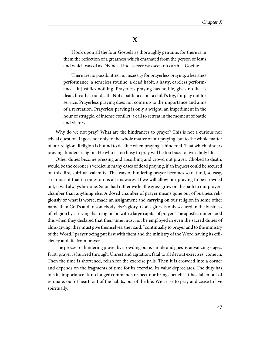#### **X**

I look upon all the four Gospels as thoroughly genuine, for there is in them the reflection of a greatness which emanated from the person of Jesus and which was of as Divine a kind as ever was seen on earth.—Goethe

There are no possibilities, no necessity for prayerless praying, a heartless performance, a senseless routine, a dead habit, a hasty, careless performance—it justifies nothing. Prayerless praying has no life, gives no life, is dead, breathes out death. Not a battle-axe but a child's toy, for play not for service. Prayerless praying does not come up to the importance and aims of a recreation. Prayerless praying is only a weight, an impediment in the hour of struggle, of intense conflict, a call to retreat in the moment of battle and victory.

Why do we not pray? What are the hindrances to prayer? This is not a curious nor trivial question. It goes not only to the whole matter of our praying, but to the whole matter of our religion. Religion is bound to decline when praying is hindered. That which hinders praying, hinders religion. He who is too busy to pray will be too busy to live a holy life.

Other duties become pressing and absorbing and crowd out prayer. Choked to death, would be the coroner's verdict in many cases of dead praying, if an inquest could be secured on this dire, spiritual calamity. This way of hindering prayer becomes so natural, so easy, so innocent that it comes on us all unawares. If we will allow our praying to be crowded out, it will always be done. Satan had rather we let the grass grow on the path to our prayerchamber than anything else. A dosed chamber of prayer means gone out of business religiously or what is worse, made an assignment and carrying on our religion in some other name than God's and to somebody else's glory. God's glory is only secured in the business of religion by carrying that religion on with a large capital of prayer. The apostles understood this when they declared that their time must not be employed in even the sacred duties of alms-giving; they must give themselves, they said, "continually to prayer and to the ministry of the Word," prayer being put first with them and the ministry of the Word having its efficiency and life from prayer.

The process of hindering prayer by crowding out is simple and goes by advancing stages. First, prayer is hurried through. Unrest and agitation, fatal to all devout exercises, come in. Then the time is shortened, relish for the exercise palls. Then it is crowded into a corner and depends on the fragments of time for its exercise. Its value depreciates. The duty has lots its importance. It no longer commands respect nor brings benefit. It has fallen out of estimate, out of heart, out of the habits, out of the life. We cease to pray and cease to live spiritually.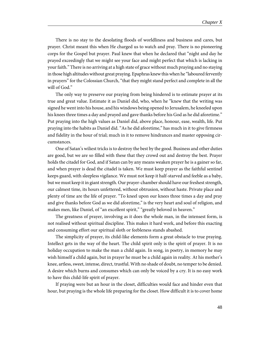There is no stay to the desolating floods of worldliness and business and cares, but prayer. Christ meant this when He charged us to watch and pray. There is no pioneering corps for the Gospel but prayer. Paul knew that when he declared that "night and day he prayed exceedingly that we might see your face and might perfect that which is lacking in your faith." There is no arriving at a high state of grace without much praying and no staying in those high altitudes without great praying. Epaphras knew this when he "laboured fervently in prayers" for the Colossian Church, "that they might stand perfect and complete in all the will of God."

The only way to preserve our praying from being hindered is to estimate prayer at its true and great value. Estimate it as Daniel did, who, when he "knew that the writing was signed he went into his house, and his windows being opened to Jerusalem, he kneeled upon his knees three times a day and prayed and gave thanks before his God as he did aforetime." Put praying into the high values as Daniel did, above place, honour, ease, wealth, life. Put praying into the habits as Daniel did. "As he did aforetime," has much in it to give firmness and fidelity in the hour of trial; much in it to remove hindrances and master opposing circumstances.

One of Satan's wiliest tricks is to destroy the best by the good. Business and other duties are good, but we are so filled with these that they crowd out and destroy the best. Prayer holds the citadel for God, and if Satan can by any means weaken prayer he is a gainer so far, and when prayer is dead the citadel is taken. We must keep prayer as the faithful sentinel keeps guard, with sleepless vigilance. We must not keep it half-starved and feeble as a baby, but we must keep it in giant strength. Our prayer-chamber should have our freshest strength, our calmest time, its hours unfettered, without obtrusion, without haste. Private place and plenty of time are the life of prayer. "To kneel upon our knees three times a day and pray and give thanks before God as we did aforetime," is the very heart and soul of religion, and makes men, like Daniel, of "an excellent spirit," "greatly beloved in heaven."

The greatness of prayer, involving as it does the whole man, in the intensest form, is not realised without spiritual discipline. This makes it hard work, and before this exacting and consuming effort our spiritual sloth or feebleness stands abashed.

The simplicity of prayer, its child-like elements form a great obstacle to true praying. Intellect gets in the way of the heart. The child spirit only is the spirit of prayer. It is no holiday occupation to make the man a child again. In song, in poetry, in memory he may wish himself a child again, but in prayer he must be a child again in reality. At his mother's knee, artless, sweet, intense, direct, trustful. With no shade of doubt, no temper to be denied. A desire which burns and consumes which can only be voiced by a cry. It is no easy work to have this child-life spirit of prayer.

If praying were but an hour in the closet, difficulties would face and hinder even that hour, but praying is the whole life preparing for the closet. How difficult it is to cover home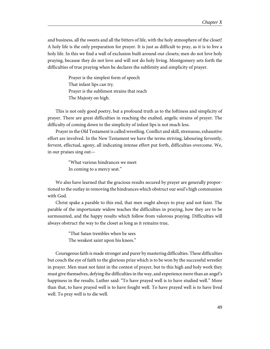and business, all the sweets and all the bitters of life, with the holy atmosphere of the closet! A holy life is the only preparation for prayer. It is just as difficult to pray, as it is to live a holy life. In this we find a wall of exclusion built around our closets; men do not love holy praying, because they do not love and will not do holy living. Montgomery sets forth the difficulties of true praying when he declares the sublimity and simplicity of prayer.

> Prayer is the simplest form of speech That infant lips can try. Prayer is the sublimest strains that reach The Majesty on high.

This is not only good poetry, but a profound truth as to the loftiness and simplicity of prayer. There are great difficulties in reaching the exalted, angelic strains of prayer. The difficulty of coming down to the simplicity of infant lips is not much less.

Prayer in the Old Testament is called wrestling. Conflict and skill, strenuous, exhaustive effort are involved. In the New Testament we have the terms striving, labouring fervently, fervent, effectual, agony, all indicating intense effort put forth, difficulties overcome. We, in our praises sing out—

> "What various hindrances we meet In coming to a mercy seat."

We also have learned that the gracious results secured by prayer are generally proportioned to the outlay in removing the hindrances which obstruct our soul's high communion with God.

Christ spake a parable to this end, that men ought always to pray and not faint. The parable of the importunate widow teaches the difficulties in praying, how they are to be surmounted, and the happy results which follow from valorous praying. Difficulties will always obstruct the way to the closet as long as it remains true,

> "That Satan trembles when he sees The weakest saint upon his knees."

Courageous faith is made stronger and purer by mastering difficulties. These difficulties but couch the eye of faith to the glorious prize which is to be won by the successful wrestler in prayer. Men must not faint in the contest of prayer, but to this high and holy work they must give themselves, defying the difficulties in the way, and experience more than an angel's happiness in the results. Luther said: "To have prayed well is to have studied well." More than that, to have prayed well is to have fought well. To have prayed well is to have lived well. To pray well is to die well.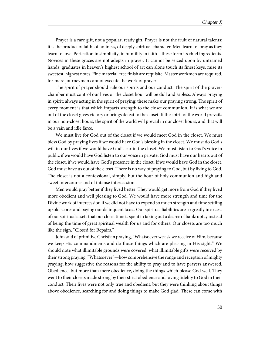Prayer is a rare gift, not a popular, ready gift. Prayer is not the fruit of natural talents; it is the product of faith, of holiness, of deeply spiritual character. Men learn to. pray as they learn to love. Perfection in simplicity, in humility in faith—these form its chief ingredients. Novices in these graces are not adepts in prayer. It cannot be seized upon by untrained hands; graduates in heaven's highest school of art can alone touch its finest keys, raise its sweetest, highest notes. Fine material, free finish are requisite. Master workmen are required, for mere journeymen cannot execute the work of prayer.

The spirit of prayer should rule our spirits and our conduct. The spirit of the prayerchamber must control our lives or the closet hour will be dull and sapless. Always praying in spirit; always acting in the spirit of praying; these make our praying strong. The spirit of every moment is that which imparts strength to the closet communion. It is what we are out of the closet gives victory or brings defeat to the closet. If the spirit of the world prevails in our non-closet hours, the spirit of the world will prevail in our closet hours, and that will be a vain and idle farce.

We must live for God out of the closet if we would meet God in the closet. We must bless God by praying lives if we would have God's blessing in the closet. We must do God's will in our lives if we would have God's ear in the closet. We must listen to God's voice in public if we would have God listen to our voice in private. God must have our hearts out of the closet, if we would have God's presence in the closet. If we would have God in the closet, God must have us out of the closet. There is no way of praying to God, but by living to God. The closet is not a confessional, simply, but the hour of holy communion and high and sweet intercourse and of intense intercession..

Men would pray better if they lived better. They would get more from God if they lived more obedient and well pleasing to God. We would have more strength and time for the Divine work of intercession if we did not have to expend so much strength and time settling up old scores and paying our delinquent taxes. Our spiritual liabilities are so greatly in excess of our spiritual assets that our closet time is spent in taking out a decree of bankruptcy instead of being the time of great spiritual wealth for us and for others. Our closets are too much like the sign, "Closed for Repairs."

John said of primitive Christian praying, "Whatsoever we ask we receive of Him, because we keep His commandments and do those things which are pleasing in His sight." We should note what illimitable grounds were covered, what illimitable gifts were received by their strong praying: "Whatsoever"—how comprehensive the range and reception of mighty praying; how suggestive the reasons for the ability to pray and to have prayers answered. Obedience, but more than mere obedience, doing the things which please God well. They went to their closets made strong by their strict obedience and loving fidelity to God in their conduct. Their lives were not only true and obedient, but they were thinking about things above obedience, searching for and doing things to make God glad. These can come with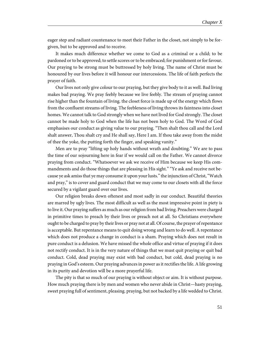eager step and radiant countenance to meet their Father in the closet, not simply to be forgiven, but to be approved and to receive.

It makes much difference whether we come to God as a criminal or a child; to be pardoned or to be approved; to settle scores or to be embraced; for punishment or for favour. Our praying to be strong must be buttressed by holy living. The name of Christ must be honoured by our lives before it will honour our intercessions. The life of faith perfects the prayer of faith.

Our lives not only give colour to our praying, but they give body to it as well. Bad living makes bad praying. We pray feebly because we live feebly. The stream of praying cannot rise higher than the fountain of living. the closet force is made up of the energy which flows from the confluent streams of living. The feebleness of living throws its faintness into closet homes. We cannot talk to God strongly when we have not lived for God strongly. The closet cannot be made holy to God when the life has not been holy to God. The Word of God emphasises our conduct as giving value to our praying. "Then shalt thou call and the Lord shalt answer, Thou shalt cry and He shall say, Here I am. If thou take away from the midst of thee the yoke, the putting forth the finger, and speaking vanity."

Men are to pray "lifting up holy hands without wrath and doubting." We are to pass the time of our sojourning here in fear if we would call on the Father. We cannot divorce praying from conduct. "Whatsoever we ask we receive of Him because we keep His commandments and do those things that are pleasing in His sight." "Ye ask and receive not because ye ask amiss that ye may consume it upon your lusts." the injunction of Christ, "Watch and pray," is to cover and guard conduct that we may come to our closets with all the force secured by a vigilant guard over our lives.

Our religion breaks down oftenest and most sadly in our conduct. Beautiful theories are marred by ugly lives. The most difficult as well as the most impressive point in piety is to live it. Our praying suffers as much as our religion from bad living. Preachers were charged in primitive times to preach by their lives or preach not at all. So Christians everywhere ought to be charged to pray by their lives or pray not at all. Of course, the prayer of repentance is acceptable. But repentance means to quit doing wrong and learn to do well. A repentance which does not produce a change in conduct is a sham. Praying which does not result in pure conduct is a delusion. We have missed the whole office and virtue of praying if it does not rectify conduct. It is in the very nature of things that we must quit praying or quit bad conduct. Cold, dead praying may exist with bad conduct, but cold, dead praying is no praying in God's esteem. Our praying advances in power as it rectifies the life. A life growing in its purity and devotion will be a more prayerful life.

The pity is that so much of our praying is without object or aim. It is without purpose. How much praying there is by men and women who never abide in Christ—hasty praying, sweet praying full of sentiment, pleasing. praying, but not backed by a life wedded to Christ.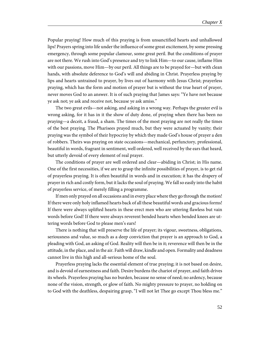Popular praying! How much of this praying is from unsanctified hearts and unhallowed lips! Prayers spring into life under the influence of some great excitement, by some pressing emergency, through some popular clamour, some great peril. But the conditions of prayer are not there. We rush into God's presence and try to link Him—to our cause, inflame Him with our passions, move Him—by our peril. All things are to be prayed for—but with clean hands, with absolute deference to God's will and abiding in Christ. Prayerless praying by lips and hearts untrained to prayer, by lives out of harmony with Jesus Christ; prayerless praying, which has the form and motion of prayer but is without the true heart of prayer, never moves God to an answer. It is of such praying that James says: "Ye have not because ye ask not; ye ask and receive not, because ye ask amiss."

The two great evils—not asking, and asking in a wrong way. Perhaps the greater evil is wrong asking, for it has in it the show of duty done, of praying when there has been no praying—a deceit, a fraud, a sham. The times of the most praying are not really the times of the best praying. The Pharisees prayed much, but they were actuated by vanity; their praying was the symbol of their hypocrisy by which they made God's house of prayer a den of robbers. Theirs was praying on state occasions—mechanical, perfunctory, professional, beautiful in words, fragrant in sentiment, well ordered, well received by the ears that heard, but utterly devoid of every element of real prayer.

The conditions of prayer are well ordered and clear—abiding in Christ; in His name. One of the first necessities, if we are to grasp the infinite possibilities of prayer, is to get rid of prayerless praying. It is often beautiful in words and in execution; it has the drapery of prayer in rich and costly form, but it lacks the soul of praying. We fall so easily into the habit of prayerless service, of merely filling a programme.

If men only prayed on all occasions and in every place where they go through the motion! If there were only holy inflamed hearts back of all these beautiful words and gracious forms! If there were always uplifted hearts in these erect men who are uttering flawless but vain words before God! If there were always reverent bended hearts when bended knees are uttering words before God to please men's ears!

There is nothing that will preserve the life of prayer; its vigour, sweetness, obligations, seriousness and value, so much as a deep conviction that prayer is an approach to God, a pleading with God, an asking of God. Reality will then be in it; reverence will then be in the attitude, in the place, and in the air. Faith will draw, kindle and open. Formality and deadness cannot live in this high and all-serious home of the soul.

Prayerless praying lacks the essential element of true praying; it is not based on desire, and is devoid of earnestness and faith. Desire burdens the chariot of prayer, and faith drives its wheels. Prayerless praying has no burden, because no sense of need; no ardency, because none of the vision, strength, or glow of faith. No mighty pressure to prayer, no holding on to God with the deathless, despairing grasp, "I will not let Thee go except Thou bless me."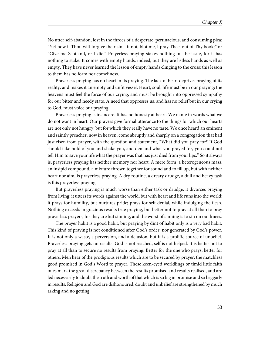No utter self-abandon, lost in the throes of a desperate, pertinacious, and consuming plea: "Yet now if Thou wilt forgive their sin—if not, blot me, I pray Thee, out of Thy book;" or "Give me Scotland, or I die." Prayerless praying stakes nothing on the issue, for it has nothing to stake. It comes with empty hands, indeed, but they are listless hands as well as empty. They have never learned the lesson of empty hands clinging to the cross; this lesson to them has no form nor comeliness.

Prayerless praying has no heart in its praying. The lack of heart deprives praying of its reality, and makes it an empty and unfit vessel. Heart, soul, life must be in our praying; the heavens must feel the force of our crying, and must be brought into oppressed sympathy for our bitter and needy state, A need that oppresses us, and has no relief but in our crying to God, must voice our praying.

Prayerless praying is insincere. It has no honesty at heart. We name in words what we do not want in heart. Our prayers give formal utterance to the things for which our hearts are not only not hungry, but for which they really have no taste. We once heard an eminent and saintly preacher, now in heaven, come abruptly and sharply on a congregation that had just risen from prayer, with the question and statement, "What did you pray for? If God should take hold of you and shake you, and demand what you prayed for, you could not tell Him to save your life what the prayer was that has just died from your lips." So it always is, prayerless praying has neither memory nor heart. A mere form, a heterogeneous mass, an insipid compound, a mixture thrown together for sound and to fill up, but with neither heart nor aim, is prayerless praying. A dry routine, a dreary drudge, a dull and heavy task is this prayerless praying.

But prayerless praying is much worse than either task or drudge, it divorces praying from living; it utters its words against the world, but with heart and life runs into the world; it prays for humility, but nurtures pride; prays for self-denial, while indulging the flesh. Nothing exceeds in gracious results true praying, but better not to pray at all than to pray prayerless prayers, for they are but sinning, and the worst of sinning is to sin on our knees.

The prayer habit is a good habit, but praying by dint of habit only is a very bad habit. This kind of praying is not conditioned after God's order, nor generated by God's power. It is not only a waste, a perversion, and a delusion, but it is a prolific source of unbelief. Prayerless praying gets no results. God is not reached, self is not helped. It is better not to pray at all than to secure no results from praying. Better for the one who prays, better for others. Men hear of the prodigious results which are to be secured by prayer: the matchless good promised in God's Word to prayer. These keen-eyed worldlings or timid little faith ones mark the great discrepancy between the results promised and results realised, and are led necessarily to doubt the truth and worth of that which is so big in promise and so beggarly in results. Religion and God are dishonoured, doubt and unbelief are strengthened by much asking and no getting.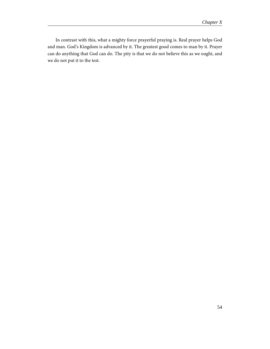In contrast with this, what a mighty force prayerful praying is. Real prayer helps God and man. God's Kingdom is advanced by it. The greatest good comes to man by it. Prayer can do anything that God can do. The pity is that we do not believe this as we ought, and we do not put it to the test.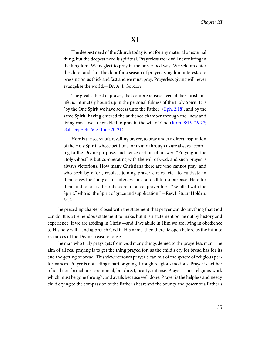## **XI**

The deepest need of the Church today is not for any material or external thing, but the deepest need is spiritual. Prayerless work will never bring in the kingdom. We neglect to pray in the prescribed way. We seldom enter the closet and shut the door for a season of prayer. Kingdom interests are pressing on us thick and fast and we must pray. Prayerless giving will never evangelise the world.—Dr. A. J. Gordon

The great subject of prayer, that comprehensive need of the Christian's life, is intimately bound up in the personal fulness of the Holy Spirit. It is "by the One Spirit we have access unto the Father" ([Eph. 2:18](http://www.ccel.org/study/Bible:Eph.2.18)), and by the same Spirit, having entered the audience chamber through the "new and living way," we are enabled to pray in the will of God ([Rom. 8:15, 26-27;](http://www.ccel.org/study/Bible:Rom.8.15 Bible:Rom.8.26-Rom.8.27 Bible:Gal.4.6 Bible:Eph.6.18 Bible:Jude.1.20-Jude.1.21) [Gal. 4:6; Eph. 6:18; Jude 20-21](http://www.ccel.org/study/Bible:Rom.8.15 Bible:Rom.8.26-Rom.8.27 Bible:Gal.4.6 Bible:Eph.6.18 Bible:Jude.1.20-Jude.1.21)).

Here is the secret of prevailing prayer, to pray under a direct inspiration of the Holy Spirit, whose petitions for us and through us are always according to the Divine purpose, and hence certain of answer. "Praying in the Holy Ghost" is but co-operating with the will of God, and such prayer is always victorious. How many Christians there are who cannot pray, and who seek by effort, resolve, joining prayer circles, etc., to cultivate in themselves the "holy art of intercession," and all to no purpose. Here for them and for all is the only secret of a real prayer life—"Be filled with the Spirit," who is "the Spirit of grace and supplication."—Rev. J. Stuart Holden, M.A.

The preceding chapter closed with the statement that prayer can do anything that God can do. It is a tremendous statement to make, but it is a statement borne out by history and experience. If we are abiding in Christ—and if we abide in Him we are living in obedience to His holy will—and approach God in His name, then there lie open before us the infinite resources of the Divine treasurehouse.

The man who truly prays gets from God many things denied to the prayerless man. The aim of all real praying is to get the thing prayed for, as the child's cry for bread has for its end the getting of bread. This view removes prayer clean out of the sphere of religious performances. Prayer is not acting a part or going through religious motions. Prayer is neither official nor formal nor ceremonial, but direct, hearty, intense. Prayer is not religious work which must be gone through, and avails because well done. Prayer is the helpless and needy child crying to the compassion of the Father's heart and the bounty and power of a Father's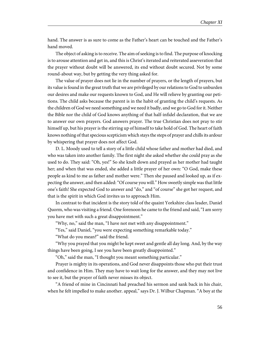hand. The answer is as sure to come as the Father's heart can be touched and the Father's hand moved.

The object of asking is to receive. The aim of seeking is to find. The purpose of knocking is to arouse attention and get in, and this is Christ's iterated and reiterated asseveration that the prayer without doubt will be answered, its end without doubt secured. Not by some round-about way, but by getting the very thing asked for.

The value of prayer does not lie in the number of prayers, or the length of prayers, but its value is found in the great truth that we are privileged by our relations to God to unburden our desires and make our requests known to God, and He will relieve by granting our petitions. The child asks because the parent is in the habit of granting the child's requests. As the children of God we need something and we need it badly, and we go to God for it. Neither the Bible nor the child of God knows anything of that half-infidel declaration, that we are to answer our own prayers. God answers prayer. The true Christian does not pray to stir himself up, but his prayer is the stirring up of himself to take hold of God. The heart of faith knows nothing of that specious scepticism which stays the steps of prayer and chills its ardour by whispering that prayer does not affect God.

D. L. Moody used to tell a story of a little child whose father and mother had died, and who was taken into another family. The first night she asked whether she could pray as she used to do. They said: "Oh, yes!" So she knelt down and prayed as her mother had taught her; and when that was ended, she added a little prayer of her own: "O God, make these people as kind to me as father and mother were." Then she paused and looked up, as if expecting the answer, and then added: "Of course you will." How sweetly simple was that little one's faith! She expected God to answer and "do," and "of course" she got her request, and that is the spirit in which God invites us to approach Him.

In contrast to that incident is the story told of the quaint Yorkshire class leader, Daniel Quorm, who was visiting a friend. One forenoon he came to the friend and said, "I am sorry you have met with such a great disappointment."

"Why, no," said the man, "I have not met with any disappointment."

"Yes," said Daniel, "you were expecting something remarkable today."

"What do you mean?" said the friend.

"Why you prayed that you might be kept sweet and gentle all day long. And, by the way things have been going, I see you have been greatly disappointed."

"Oh," said the man, "I thought you meant something particular."

Prayer is mighty in its operations, and God never disappoints those who put their trust and confidence in Him. They may have to wait long for the answer, and they may not live to see it, but the prayer of faith never misses its object.

"A friend of mine in Cincinnati had preached his sermon and sank back in his chair, when he felt impelled to make another. appeal," says Dr. J. Wilbur Chapman. "A boy at the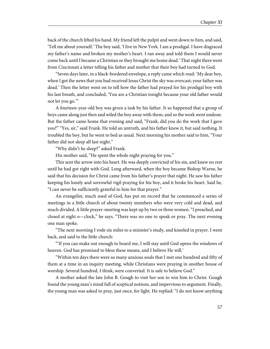back of the church lifted his hand. My friend left the pulpit and went down to him, and said, 'Tell me about yourself.' The boy said, 'I live in New York. I am a prodigal. I have disgraced my father's name and broken my mother's heart. I ran away and told them I would never come back until I became a Christian or they brought me home dead.' That night there went from Cincinnati a letter telling his father and mother that their boy had turned to God.

"Seven days later, in a black-bordered envelope, a reply came which read: 'My dear boy, when I got the news that you had received Jesus Christ the sky was overcast; your father was dead.' Then the letter went on to tell how the father had prayed for his prodigal boy with his last breath, and concluded, 'You are a Christian tonight because your old father would not let you go.'"

A fourteen-year-old boy was given a task by his father. It so happened that a group of boys came along just then and wiled the boy away with them, and so the work went undone. But the father came home that evening and said, "Frank, did you do the work that I gave you?" "Yes, sir," said Frank. He told an untruth, and his father knew it, but said nothing. It troubled the boy, but he went to bed as usual. Next morning his mother said to him, "Your father did not sleep all last night."

"Why didn't he sleep?" asked Frank.

His mother said, "He spent the whole night praying for you."

This sent the arrow into his heart. He was deeply convicted of his sin, and knew no rest until he had got right with God. Long afterward, when the boy became Bishop Warne, he said that his decision for Christ came from his father's prayer that night. He saw his father keeping his lonely and sorrowful vigil praying for his boy, and it broke his heart. Said he, "I can never be sufficiently grateful to him for that prayer."

An evangelist, much used of God, has put on record that he commenced a series of meetings in a little church of about twenty members who were very cold and dead, and much divided. A little prayer-meeting was kept up by two or three women. "I preached, and closed at eight o—clock," he says. "There was no one to speak or pray. The next evening one man spoke.

"The next morning I rode six miles to a minister's study, and kneeled in prayer. I went back, and said to the little church:

"'If you can make out enough to board me, I will stay until God opens the windows of heaven. God has promised to bless these means, and I believe He will.'

"Within ten days there were so many anxious souls that I met one hundred and fifty of them at a time in an inquiry meeting, while Christians were praying in another house of worship. Several hundred, I think, were converted. It is safe to believe God."

A mother asked the late John B. Gough to visit her son to win him to Christ. Gough found the young man's mind full of sceptical notions, and impervious to argument. Finally, the young man was asked to pray, just once, for light. He replied: "I do not know anything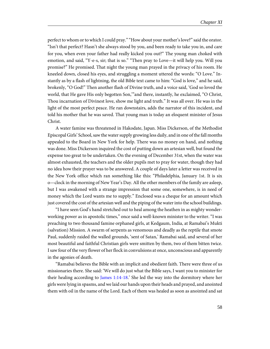perfect to whom or to which I could pray." "How about your mother's love?" said the orator. "Isn't that perfect? Hasn't she always stood by you, and been ready to take you in, and care for you, when even your father had really kicked you out?" The young man choked with emotion, and said, "Y-e-s, sir; that is so." "Then pray to Love—it will help you. Will you promise?" He promised. That night the young man prayed in the privacy of his room. He kneeled down, closed his eyes, and struggling a moment uttered the words: "O Love." Instantly as by a flash of lightning, the old Bible text came to him: "God is love," and he said, brokenly, "O God!" Then another flash of Divine truth, and a voice said, 'God so loved the world, that He gave His only begotten Son,'"and there, instantly, he exclaimed, "O Christ, Thou incarnation of Divinest love, show me light and truth." It was all over. He was in the light of the most perfect peace. He ran downstairs, adds the narrator of this incident, and told his mother that he was saved. That young man is today an eloquent minister of Jesus Christ.

A water famine was threatened in Hakodate, Japan. Miss Dickerson, of the Methodist Episcopal Girls' School, saw the water supply growing less daily, and in one of the fall months appealed to the Board in New York for help. There was no money on hand, and nothing was done. Miss Dickerson inquired the cost of putting down an artesian well, but found the expense too great to be undertaken. On the evening of December 31st, when the water was almost exhausted, the teachers and the older pupils met to pray for water, though they had no idea how their prayer was to be answered. A couple of days later a letter was received in the New York office which ran something like this: "Philadelphia, January 1st. It is six o—clock in the morning of New Year's Day. All the other members of the family are asleep, but I was awakened with a strange impression that some one, somewhere, is in need of money which the Lord wants me to supply." Enclosed was a cheque for an amount which just covered the cost of the artesian well and the piping of the water into the school buildings.

"I have seen God's hand stretched out to heal among the heathen in as mighty wonderworking power as in apostolic times," once said a well-known minister to the writer. "I was preaching to two thousand famine orphaned girls, at Kedgaum, India, at Ramabai's Mukti (salvation) Mission. A swarm of serpents as venomous and deadly as the reptile that smote Paul, suddenly raided the walled grounds, 'sent of Satan,' Ramabai said, and several of her most beautiful and faithful Christian girls were smitten by them, two of them bitten twice. I saw four of the very flower of her flock in convulsions at once, unconscious and apparently in the agonies of death.

"Ramabai believes the Bible with an implicit and obedient faith. There were three of us missionaries there. She said: 'We will do just what the Bible says, I want you to minister for their healing according to [James 1:14-18.](http://www.ccel.org/study/Bible:Jas.1.14-Jas.1.18)' She led the way into the dormitory where her girls were lying in spasms, and we laid our hands upon their heads and prayed, and anointed them with oil in the name of the Lord. Each of them was healed as soon as anointed and sat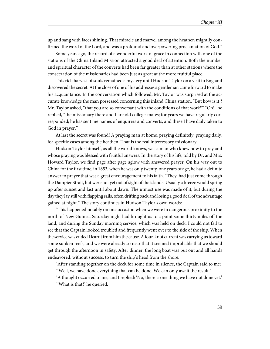up and sang with faces shining. That miracle and marvel among the heathen mightily confirmed the word of the Lord, and was a profound and overpowering proclamation of God."

Some years ago, the record of a wonderful work of grace in connection with one of the stations of the China Inland Mission attracted a good deal of attention. Both the number and spiritual character of the converts had been far greater than at other stations where the consecration of the missionaries had been just as great at the more fruitful place.

This rich harvest of souls remained a mystery until Hudson Taylor on a visit to England discovered the secret. At the close of one of his addresses a gentleman came forward to make his acquaintance. In the conversation which followed, Mr. Taylor was surprised at the accurate knowledge the man possessed concerning this inland China station. "But how is it,? Mr. Taylor asked, "that you are so conversant with the conditions of that work?" "Oh!" he replied, "the missionary there and I are old college-mates; for years we have regularly corresponded; he has sent me names of enquirers and converts, and these I have daily taken to God in prayer."

At last the secret was found! A praying man at home, praying definitely, praying daily, for specific cases among the heathen. That is the real intercessory missionary.

Hudson Taylor himself, as all the world knows, was a man who knew how to pray and whose praying was blessed with fruitful answers. In the story of his life, told by Dr. and Mrs. Howard Taylor, we find page after page aglow with answered prayer. On his way out to China for the first time, in 1853, when he was only twenty-one years of age, he had a definite answer to prayer that was a great encouragement to his faith. "They .had just come through the Dampier Strait, but were not yet out of sight of the islands. Usually a breeze would spring up after sunset and last until about dawn. The utmost use was made of it, but during the day they lay still with flapping sails, often drifting back and losing a good deal of the advantage gained at night." The story continues in Hudson Taylor's own words:

"This happened notably on one occasion when we were in dangerous proximity to the north of New Guinea. Saturday night had brought us to a point some thirty miles off the land, and during the Sunday morning service, which was held on deck, I could not fail to see that the Captain looked troubled and frequently went over to the side of the ship. When the service was ended I learnt from him the cause. A four-knot current was carrying us toward some sunken reefs, and we were already so near that it seemed improbable that we should get through the afternoon in safety. After dinner, the long boat was put out and all hands endeavored, without success, to turn the ship's head from the shore.

"After standing together on the deck for some time in silence, the Captain said to me: "'Well, we have done everything that can be done. We can only await the result.'

"A thought occurred to me, and I replied: 'No, there is one thing we have not done yet.' "'What is that?' he queried.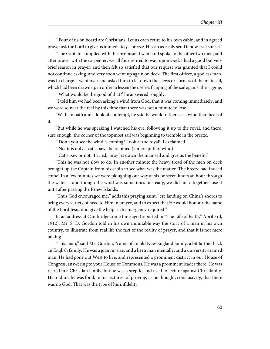"'Four of us on board are Christians. Let us each retire to his own cabin, and in agreed prayer ask the Lord to give us immediately a breeze. He can as easily send it now as at sunset.'

"The Captain complied with this proposal. I went and spoke to the other two men, and after prayer with the carpenter, we all four retired to wait upon God. I had a good but very brief season in prayer, and then felt so satisfied that our request was granted that I could not continue asking, and very soon went up again on deck. The first officer, a godless man, was in charge. I went over and asked him to let down the clews or corners of the mainsail, which had been drawn up in order to lessen the useless flapping of the sail against the rigging.

"'What would be the good of that?' he answered roughly.

"I told him we had been asking a wind from God; that it was coming immediately; and we were so near the reef by this time that there was not a minute to lose.

"With an oath and a look of contempt, he said he would rather see a wind than hear of it.

"But while he was speaking I watched his eye, following it up to the royal, and there, sure enough, the corner of the topmost sail was beginning to tremble in the breeze.

"'Don't you see the wind is coming? Look at the royal!' I exclaimed.

"'No, it is only a cat's paw,' he rejoined (a mere puff of wind).

"'Cat's paw or not,' I cried, 'pray let down the mainsail and give us the benefit.'

"This he was not slow to do. In another minute the heavy tread of the men on deck brought up the Captain from his cabin to see what was the matter. The breeze had indeed come! In a few minutes we were ploughing our way at six or seven knots an hour through the water ... and though the wind was sometimes unsteady, we did not altogether lose it until after passing the Pelew Islands.

"Thus God encouraged me," adds this praying saint, "ere landing on China's shores to bring every variety of need to Him in prayer, and to expect that He would honour the name of the Lord Jesus and give the help each emergency required."

In an address at Cambridge some time ago (reported in "The Life of Faith," April 3rd, 1912), Mr. S. D. Gordon told in his own inimitable way the story of a man in his own country, to illustrate from real life the fact of the reality of prayer, and that it is not mere talking.

"This man," said Mr. Gordon, "came of an old New England family, a bit farther back an English family. He was a giant in size, and a keen man mentally, and a university-trained man. He had gone out West to live, and represented a prominent district in our House of Congress, answering to your House of Commons. He was a prominent leader there. He was reared in a Christian family, but he was a sceptic, and used to lecture against Christianity. He told me he was fond, in his lectures, of proving, as he thought, conclusively, that there was no God. That was the type of his infidelity.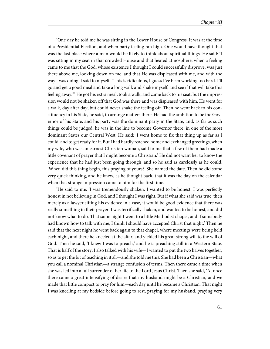"One day he told me he was sitting in the Lower House of Congress. It was at the time of a Presidential Election, and when party feeling ran high. One would have thought that was the last place where a man would be likely to think about spiritual things. He said: 'I was sitting in my seat in that crowded House and that heated atmosphere, when a feeling came to me that the God, whose existence I thought I could successfully disprove, was just there above me, looking down on me, and that He was displeased with me, and with the way I was doing. I said to myself, "This is ridiculous, I guess I've been working too hard. I'll go and get a good meal and take a long walk and shake myself, and see if that will take this feeling away."' He got his extra meal, took a walk, and came back to his seat, but the impression would not be shaken off that God was there and was displeased with him. He went for a walk, day after day, but could never shake the feeling off. Then he went back to his constituency in his State, he said, to arrange matters there. He had the ambition to be the Governor of his State, and his party was the dominant party in the State, and, as far as such things could be judged, he was in the line to become Governor there, in one of the most dominant States our Central West. He said: 'I went home to fix that thing up as far as I could, and to get ready for it. But I had hardly reached home and exchanged greetings, when my wife, who was an earnest Christian woman, said to me that a few of them had made a little covenant of prayer that I might become a Christian.' He did not want her to know the experience that he had just been going through, and so he said as carelessly as he could, 'When did this thing begin, this praying of yours?' She named the date. Then he did some very quick thinking, and he knew, as he thought back, that it was the day on the calendar when that strange impression came to him for the first time.

"He said to me: 'I was tremendously shaken. I wanted to be honest. I was perfectly honest in not believing in God, and I thought I was right. But if what she said was true, then merely as a lawyer sifting his evidence in a case, it would be good evidence that there was really something in their prayer. I was terrifically shaken, and wanted to be honest, and did not know what to do. That same night I went to a little Methodist chapel, and if somebody had known how to talk with me, I think I should have accepted Christ that night.' Then he said that the next night he went back again to that chapel, where meetings were being held each night, and there he kneeled at the altar, and yielded his great strong will to the will of God. Then he said, 'I knew I was to preach,' and he is preaching still in a Western State. That is half of the story. I also talked with his wife—I wanted to put the two halves together, so as to get the bit of teaching in it all—and she told me this. She had been a Christian—what you call a nominal Christian—a strange confusion of terms. Then there came a time when she was led into a full surrender of her life to the Lord Jesus Christ. Then she said, 'At once there came a great intensifying of desire that my husband might be a Christian, and we made that little compact to pray for him—each day until he became a Christian. That night I was kneeling at my bedside before going to rest, praying for my husband, praying very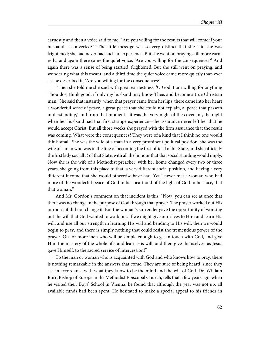earnestly and then a voice said to me, "Are you willing for the results that will come if your husband is converted?"' The little message was so very distinct that she said she was frightened; she had never had such an experience. But she went on praying still more earnestly, and again there came the quiet voice, 'Are you willing for the consequences?' And again there was a sense of being startled, frightened. But she still went on praying, and wondering what this meant, and a third time the quiet voice came more quietly than ever as she described it, 'Are you willing for the consequences?'

"Then she told me she said with great earnestness, 'O God, I am willing for anything Thou dost think good, if only my husband may know Thee, and become a true Christian man.' She said that instantly, when that prayer came from her lips, there came into her heart a wonderful sense of peace, a great peace that she could not explain, a 'peace that passeth understanding,' and from that moment—it was the very night of the covenant, the night when her husband had that first strange experience—the assurance never left her that he would accept Christ. But all those weeks she prayed with the firm assurance that the result was coming. What were the consequences? They were of a kind that I think no one would think small. She was the wife of a man in a very prominent political position; she was the wife of a man who was in the line of becoming the first official of his State, and she officially the first lady socially? of that State, with all the honour that that social standing would imply. Now she is the wife of a Methodist preacher, with her home changed every two or three years, she going from this place to that, a very different social position, and having a very different income that she would otherwise have had. Yet I never met a woman who had more of the wonderful peace of God in her heart and of the light of God in her face, that that woman."

And Mr. Gordon's comment on that incident is this: "Now, you can see at once that there was no change in the purpose of God through that prayer. The prayer worked out His purpose; it did not change it. But the woman's surrender gave the opportunity of working out the will that God wanted to work out. If we might give ourselves to Him and learn His will, and use all our strength in learning His will and bending to His will, then we would begin to pray, and there is simply nothing that could resist the tremendous power of the prayer. Oh for more men who will be simple enough to get in touch with God, and give Him the mastery of the whole life, and learn His will, and then give themselves, as Jesus gave Himself, to the sacred service of intercession!"

To the man or woman who is acquainted with God and who knows how to pray, there is nothing remarkable in the answers that come. They are sure of being heard, since they ask in accordance with what they know to be the mind and the will of God. Dr. William Burr, Bishop of Europe in the Methodist Episcopal Church, tells that a few years ago, when he visited their Boys' School in Vienna, he found that although the year was not up, all available funds had been spent. He hesitated to make a special appeal to his friends in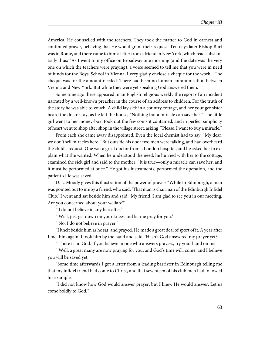America. He counselled with the teachers. They took the matter to God in earnest and continued prayer, believing that He would grant their request. Ten days later Bishop Burt was in Rome, and there came to him a letter from a friend in New York, which read substantially thus: "As I went to my office on Broadway one morning (and the date was the very one on which the teachers were praying), a voice seemed to tell me that you were in need of funds for the Boys' School in Vienna. I very gladly enclose a cheque for the work." The cheque was for the amount needed. There had been no human communication between Vienna and New York. But while they were yet speaking God answered them.

Some time ago there appeared in an English religious weekly the report of an incident narrated by a well-known preacher in the course of an address to children. For the truth of the story he was able to vouch. A child lay sick in a country cottage, and her younger sister heard the doctor say, as he left the house, "Nothing but a miracle can save her." The little girl went to her money-box, took out the few coins it contained, and in perfect simplicity of heart went to shop after shop in the village street, asking, "Please, I want to buy a miracle."

From each she came away disappointed. Even the local chemist had to say, "My dear, we don't sell miracles here." But outside his door two men were talking, and had overheard the child's request. One was a great doctor from a London hospital, and he asked her to explain what she wanted. When he understood the need, he hurried with her to the cottage, examined the sick girl and said to the mother: "It is true—only a miracle can save her, and it must be performed at once." He got his instruments, performed the operation, and the patient's life was saved.

D. L. Moody gives this illustration of the power of prayer: "While in Edinburgh, a man was pointed out to me by a friend, who said: 'That man is chairman of the Edinburgh Infidel Club.' I went and sat beside him and said, 'My friend, I am glad to see you in our meeting. Are you concerned about your welfare?'

"'I do not believe in any hereafter.'

"'Well, just get down on your knees and let me pray for you.'

"'No, I do not believe in prayer.'

"I knelt beside him as he sat, and prayed. He made a great deal of sport of it. A year after I met him again. I took him by the hand and said: 'Hasn't God answered my prayer yet?'

"'There is no God. If you believe in one who answers prayers, try your hand on me.'

"'Well, a great many are now praying for you, and God's time will. come, and I believe you will be saved yet.'

"Some time afterwards I got a letter from a leading barrister in Edinburgh telling me that my infidel friend had come to Christ, and that seventeen of his club men had followed his example.

"I did not know how God would answer prayer, but I knew He would answer. Let us come boldly to God."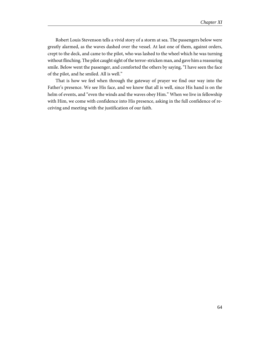Robert Louis Stevenson tells a vivid story of a storm at sea. The passengers below were greatly alarmed, as the waves dashed over the vessel. At last one of them, against orders, crept to the deck, and came to the pilot, who was lashed to the wheel which he was turning without flinching. The pilot caught sight of the terror-stricken man, and gave him a reassuring smile. Below went the passenger, and comforted the others by saying, "I have seen the face of the pilot, and he smiled. All is well."

That is how we feel when through the gateway of prayer we find our way into the Father's presence. We see His face, and we know that all is well, since His hand is on the helm of events, and "even the winds and the waves obey Him." When we live in fellowship with Him, we come with confidence into His presence, asking in the full confidence of receiving and meeting with the justification of our faith.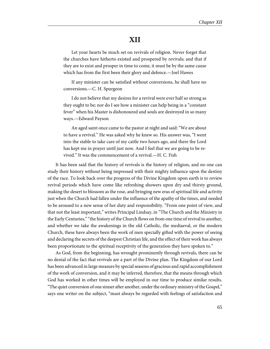# **XII**

Let your hearts be much set on revivals of religion. Never forget that the churches have hitherto existed and prospered by revivals; and that if they are to exist and prosper in time to come, it must be by the same cause which has from the first been their glory and defence.—Joel Hawes

If any minister can be satisfied without conversions, he shall have no conversions.—C. H. Spurgeon

I do not believe that my desires for a revival were ever half so strong as they ought to be; nor do I see how a minister can help being in a "constant fever" when his Master is dishonoured and souls are destroyed in so many ways.—Edward Payson

An aged saint once came to the pastor at night and said: "We are about to have a revival." He was asked why he knew so. His answer was, "I went into the stable to take care of my cattle two hours ago, and there the Lord has kept me in prayer until just now. And I feel that we are going to be revived." It was the commencement of a revival.—H. C. Fish

It has been said that the history of revivals is the history of religion, and no one can study their history without being impressed with their mighty influence upon the destiny of the race. To look back over the progress of the Divine Kingdom upon earth is to review revival periods which have come like refreshing showers upon dry and thirsty ground, making the desert to blossom as the rose, and bringing new eras of spiritual life and activity just when the Church had fallen under the influence of the apathy of the times, and needed to be aroused to a new sense of her duty and responsibility. "From one point of view, and that not the least important," writes Principal Lindsay, in "The Church and the Ministry in the Early Centuries," "the history of the Church flows on from one time of revival to another, and whether we take the awakenings in the old Catholic, the mediaeval, or the modern Church, these have always been the work of men specially gifted with the power of seeing and declaring the secrets of the deepest Christian life, and the effect of their work has always been proportionate to the spiritual receptivity of the generation they have spoken to."

As God, from the beginning, has wrought prominently through revivals, there can be no denial of the fact that revivals are a part of the Divine plan. The Kingdom of our Lord has been advanced in large measure by special seasons of gracious and rapid accomplishment of the work of conversion, and it may be inferred, therefore, that the means through which God has worked in other times will be employed in our time to produce similar results. "The quiet conversion of one sinner after another, under the ordinary ministry of the Gospel," says one writer on the subject, "must always be regarded with feelings of satisfaction and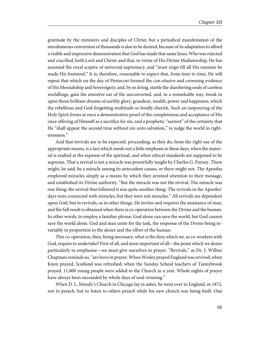gratitude by the ministers and disciples of Christ; but a periodical manifestation of the simultaneous conversion of thousands is also to be desired, because of its adaptation to afford a visible and impressive demonstration that God has made that same Jesus, Who was rejected and crucified, both Lord and Christ; and that, in virtue of His Divine Mediatorship, He has assumed the royal sceptre of universal supremacy, and "must reign till all His enemies be made His footstool." It is, therefore, reasonable to expect that, from time to time, He will repeat that which on the day of Pentecost formed the con-elusive and crowning evidence of His Messiahship and Sovereignty; and, by so doing, startle the slumbering souls of careless worldlings, gain the attentive ear of the unconverted, and, in a remarkable way, break in upon those brilliant dreams of earthly glory, grandeur, wealth, power and happiness, which the rebellious and God-forgetting multitude so fondly cherish. Such an outpouring of the Holy Spirit forms at once a demonstrative proof of the completeness and acceptance of His once offering of Himself as a sacrifice for sin, and a prophetic "earnest" of the certainty that He "shall appear the second time without sin unto salvation," to judge the world in righteousness."

And that revivals are to be expected, proceeding, as they do, from the right use of the appropriate means, is a fact which needs not a little emphasis in these days, when the material is exalted at the expense of the spiritual, and when ethical standards are supposed to be supreme. That a revival is not a miracle was powerfully taught by Charles G. Finney. There might, he said, be a miracle among its antecedent causes, or there might not. The Apostles employed miracles simply as a means by which they arrested attention to their message, and established its Divine authority. "But the miracle was not the revival. The miracle was one thing; the revival that followed it was quite another thing. The revivals in the Apostles' days were connected with miracles, but they were not miracles." All revivals are dependent upon God, but in revivals, as in other things, He invites and requires the assistance of man, and the full result is obtained when there is co-operation between the Divine and the human. In other words, to employ a familiar phrase, God alone can save the world, but God cannot save the world alone. God and man unite for the task, the response of the Divine being invariably in proportion to the desire and the effort of the human.

This co-operation, then, being necessary, what is the duty which we, as co-workers with God, require to undertake? First of all, and most important of all—the point which we desire particularly to emphasise—we must give ourselves to prayer. "Revivals," as Dr. J. Wilbur Chapman reminds us, "are born in prayer. When Wesley prayed England was revived; when Knox prayed, Scotland was refreshed; when the Sunday School teachers of Tannybrook prayed, 11,000 young people were added to the Church in a year. Whole nights of prayer have always been succeeded by whole days of soul-winning."

When D. L. Moody's Church in Chicago lay in ashes, he went over to England, in 1872, not to preach, but to listen to others preach while his new church was being built. One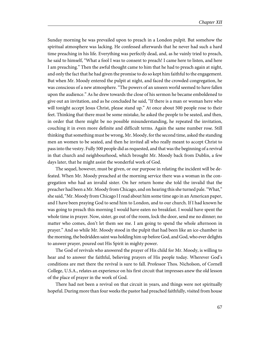Sunday morning he was prevailed upon to preach in a London pulpit. But somehow the spiritual atmosphere was lacking. He confessed afterwards that he never had such a hard time preaching in his life. Everything was perfectly dead, and, as he vainly tried to preach, he said to himself, "What a fool I was to consent to preach! I came here to listen, and here I am preaching." Then the awful thought came to him that he had to preach again at night, and only the fact that he had given the promise to do so kept him faithful to the engagement. But when Mr. Moody entered the pulpit at night, and faced the crowded congregation, he was conscious of a new atmosphere. "The powers of an unseen world seemed to have fallen upon the audience." As he drew towards the close of his sermon he became emboldened to give out an invitation, and as he concluded he said, "If there is a man or woman here who will tonight accept Jesus Christ, please stand up." At once about 500 people rose to their feet. Thinking that there must be some mistake, he asked the people to be seated, and then, in order that there might be no possible misunderstanding, he repeated the invitation, couching it in even more definite and difficult terms. Again the same number rose. Still thinking that something must be wrong, Mr. Moody, for the second time, asked the standing men an women to be seated, and then he invited all who really meant to accept Christ to pass into the vestry. Fully 500 people did as requested, and that was the beginning of a revival in that church and neighbourhood, which brought Mr. Moody back from Dublin, a few days later, that he might assist the wonderful work of God.

The sequel, however, must be given, or our purpose in relating the incident will be defeated. When Mr. Moody preached at the morning service there was a woman in the congregation who had an invalid sister. On her return home she told the invalid that the preacher had been a Mr. Moody from Chicago, and on hearing this she turned pale. "What," she said, "Mr. Moody from Chicago l I read about him some time ago in an American paper, and I have been praying God to send him to London, and to our church. If I had known he was going to preach this morning I would have eaten no breakfast. I would have spent the whole time in prayer. Now, sister, go out of the room, lock the door, send me no dinner; no matter who comes, don't let them see me. I am going to spend the whole afternoon in prayer." And so while Mr. Moody stood in the pulpit that had been like an ice-chamber in the morning, the bedridden saint was holding him up before God, and God, who ever delights to answer prayer, poured out His Spirit in mighty power.

The God of revivals who answered the prayer of His child for Mr. Moody, is willing to hear and to answer the faithful, believing prayers of His people today. Wherever God's conditions are met there the revival is sure to fall. Professor Thos. Nicholson, of Cornell College, U.S.A., relates an experience on his first circuit that impresses anew the old lesson of the place of prayer in the work of God.

There had not been a revival on that circuit in years, and things were not spiritually hopeful. During more than four weeks the pastor had preached faithfully, visited from house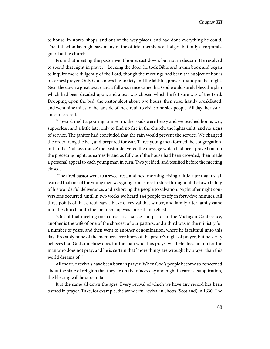to house, in stores, shops, and out-of-the-way places, and had done everything he could. The fifth Monday night saw many of the official members at lodges, but only a corporal's guard at the church.

From that meeting the pastor went home, cast down, but not in despair. He resolved to spend that night in prayer. "Locking the door, he took Bible and hymn book and began to inquire more diligently of the Lord, though the meetings had been the subject of hours of earnest prayer. Only God knows the anxiety and the faithful, prayerful study of that night. Near the dawn a great peace and a full assurance came that God would surely bless the plan which had been decided upon, and a text was chosen which he felt sure was of the Lord. Dropping upon the bed, the pastor slept about two hours, then rose, hastily breakfasted, and went nine miles to the far side of the circuit to visit some sick people. All day the assurance increased.

"Toward night a pouring rain set in, the roads were heavy and we reached home, wet, supperless, and a little late, only to find no fire in the church, the lights unlit, and no signs of service. The janitor had concluded that the rain would prevent the service. We changed the order, rang the bell, and prepared for war. Three young men formed the congregation, but in that 'full assurance' the pastor delivered the message which had been prayed out on the preceding night, as earnestly and as fully as if the house had been crowded, then made a personal appeal to each young man in turn. Two yielded, and testified before the meeting closed.

"The tired pastor went to a sweet rest, and next morning, rising a little later than usual, learned that one of the young men was going from store to store throughout the town telling of his wonderful deliverance, and exhorting the people to salvation. Night after night conversions occurred, until in two weeks we heard 144 people testify in forty-five minutes. All three points of that circuit saw a blaze of revival that winter, and family after family came into the church, unto the membership was more than trebled.

"Out of that meeting one convert is a successful pastor in the Michigan Conference, another is the wife of one of the choicest of our pastors, and a third was in the ministry for a number of years, and then went to another denomination, where he is faithful unto this day. Probably none of the members ever knew of the pastor's night of prayer, but he verily believes that God somehow does for the man who thus prays, what He does not do for the man who does not pray, and he is certain that 'more things are wrought by prayer than this world dreams of.'"

All the true revivals have been born in prayer. When God's people become so concerned about the state of religion that they lie on their faces day and night in earnest supplication, the blessing will be sure to fail.

It is the same all down the ages. Every revival of which we have any record has been bathed in prayer. Take, for example, the wonderful revival in Shotts (Scotland) in 1630. The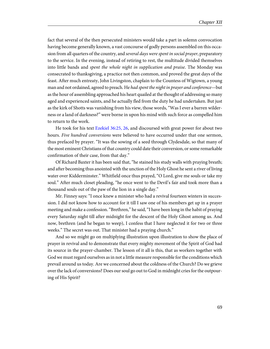fact that several of the then persecuted ministers would take a part in solemn convocation having become generally known, a vast concourse of godly persons assembled on this occasion from all quarters of the country, and *several days were spent in social prayer*, preparatory to the service. In the evening, instead of retiring to rest, the multitude divided themselves into little bands and spent the whole night in supplication and praise. The Monday was consecrated to thanksgiving, a practice not then common, and proved the great days of the feast. After much entreaty, John Livingston, chaplain to the Countess of Wigtown, a young man and not ordained, agreed to preach. He had spent the night in prayer and conference—but as the hour of assembling approached his heart quailed at the thought of addressing so many aged and experienced saints, and he actually fled from the duty he had undertaken. But just as the kirk of Shotts was vanishing from his view, those words, "Was I ever a barren wilderness or a land of darkness?" were borne in upon his mind with such force as compelled him to return to the work.

<span id="page-72-0"></span>He took for his text [Ezekiel 36:25, 26,](http://www.ccel.org/study/Bible:Ezek.36.25 Bible:Ezek.36.26) and discoursed with great power for about two hours. Five hundred conversions were believed to have occurred under that one sermon, thus prefaced by prayer. "It was the sowing of a seed through Clydesdale, so that many of the most eminent Christians of that country could date their conversion, or some remarkable confirmation of their case, from that day."

Of Richard Baxter it has been said that, "he stained his study walls with praying breath; and after becoming thus anointed with the unction of the Holy Ghost he sent a river of living water over Kidderminster." Whitfield once thus prayed, "O Lord, give me souls or take my soul." After much closet pleading, "he once went to the Devil's fair and took more than a thousand souls out of the paw of the lion in a single day."

Mr. Finney says: "I once knew a minister who had a revival fourteen winters in succession. I did not know how to account for it till I saw one of his members get up in a prayer meeting and make a confession. "Brethren," he said, "I have been long in the habit of praying every Saturday night till after midnight for the descent of the Holy Ghost among us. And now, brethren (and he began to weep), I confess that I have neglected it for two or three weeks." The secret was out. That minister had a praying church."

And so we might go on multiplying illustration upon illustration to show the place of prayer in revival and to demonstrate that every mighty movement of the Spirit of God had its source in the prayer-chamber. The lesson of it all is this, that as workers together with God we must regard ourselves as in not a little measure responsible for the conditions which prevail around us today. Are we concerned about the coldness of the Church? Do we grieve over the lack of conversions? Does our soul go out to God in midnight cries for the outpouring of His Spirit?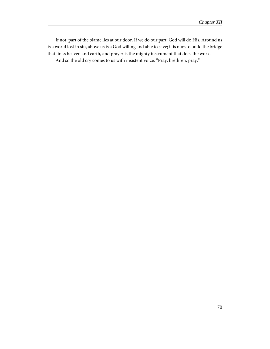If not, part of the blame lies at our door. If we do our part, God will do His. Around us is a world lost in sin, above us is a God willing and able to save; it is ours to build the bridge that links heaven and earth, and prayer is the mighty instrument that does the work. And so the old cry comes to us with insistent voice, "Pray, brethren, pray."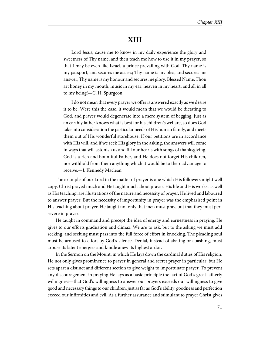## **XIII**

Lord Jesus, cause me to know in my daily experience the glory and sweetness of Thy name, and then teach me how to use it in my prayer, so that I may be even like Israel, a prince prevailing with God. Thy name is my passport, and secures me access; Thy name is my plea, and secures me answer; Thy name is my honour and secures me glory. Blessed Name, Thou art honey in my mouth, music in my ear, heaven in my heart, and all in all to my being!—C. H. Spurgeon

I do not mean that every prayer we offer is answered exactly as we desire it to be. Were this the case, it would mean that we would be dictating to God, and prayer would degenerate into a mere system of begging. Just as an earthly father knows what is best for his children's welfare, so does God take into consideration the particular needs of His human family, and meets them out of His wonderful storehouse. If our petitions are in accordance with His will, and if we seek His glory in the asking, the answers will come in ways that will astonish us and fill our hearts with songs of thanksgiving. God is a rich and bountiful Father, and He does not forget His children, nor withhold from them anything which it would be to their advantage to receive.—J. Kennedy Maclean

The example of our Lord in the matter of prayer is one which His followers might well copy. Christ prayed much and He taught much about prayer. His life and His works, as well as His teaching, are illustrations of the nature and necessity of prayer. He lived and laboured to answer prayer. But the necessity of importunity in prayer was the emphasised point in His teaching about prayer. He taught not only that men must pray, but that they must persevere in prayer.

He taught in command and precept the idea of energy and earnestness in praying. He gives to our efforts graduation and climax. We are to ask, but to the asking we must add seeking, and seeking must pass into the full force of effort in knocking. The pleading soul must be aroused to effort by God's silence. Denial, instead of abating or abashing, must arouse its latent energies and kindle anew its highest ardor.

In the Sermon on the Mount, in which He lays down the cardinal duties of His religion, He not only gives prominence to prayer in general and secret prayer in particular, but He sets apart a distinct and different section to give weight to importunate prayer. To prevent any discouragement in praying He lays as a basic principle the fact of God's great fatherly willingness—that God's willingness to answer our prayers exceeds our willingness to give good and necessary things to our children, just as far as God's ability, goodness and perfection exceed our infirmities and evil. As a further assurance and stimulant to prayer Christ gives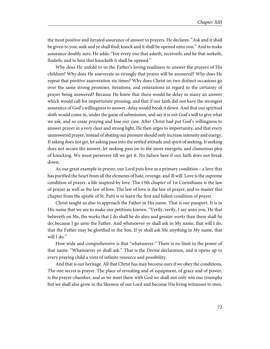the most positive and iterated assurance of answer to prayers. He declares: "Ask and it shall be given to you; seek and ye shall find; knock and it shall be opened unto you." And to make assurance doubly sure, He adds: "For every one that asketh, receiveth; and he that seeketh, findeth; and to him that knocketh it shall be opened."

Why does He unfold to us the Father's loving readiness to answer the prayers of His children? Why does He asseverate so strongly that prayer will be answered? Why does He repeat that positive asseveration six times? Why does Christ on two distinct occasions go over the same strong promises, iterations, and reiterations in regard to the certainty of prayer being answered? Because He knew that there would be delay in many an answer which would call for importunate pressing, and that if our faith did not have the strongest assurance of God's willingness to answer, delay would break it down. And that our spiritual sloth would come in, under the guise of submission, and say it is not God's will to give what we ask, and so cease praying and lose our case. After Christ had put God's willingness to answer prayer in a very clear and strong light, He then urges to importunity, and that every unanswered prayer, instead of abating our pressure should only increase intensity and energy. If asking does not get, let asking pass into the settled attitude and spirit of seeking. If seeking does not secure the answer, let seeking pass on to the more energetic and clamorous plea of knocking. We must persevere till we get it. No failure here if our faith does not break down.

As our great example in prayer, our Lord puts love as a primary condition—a love that has purified the heart from all the elements of hate, revenge, and ill will. Love is the supreme condition of prayer, a life inspired by love. The 13th chapter of 1st Corinthians is the law of prayer as well as the law of love. The law of love is the law of prayer, and to master this chapter from the epistle of St. Patti is to learn the first and fullest condition of prayer.

Christ taught us also to approach the Father in His name. That is our passport. It is in His name that we are to make our petitions known. "Verily, verily, I say unto you, He that believeth on Me, the works that I do shall he do also; and greater works than these shall he do; because I go unto the Father. And whatsoever ye shall ask in My name, that will I do, that the Father may be glorified in the Son. If ye shall ask Me anything in My name, that will I do."

How wide and comprehensive is that "whatsoever." There is no limit to the power of that name. "Whatsoever ye shall ask." That is the Divine declaration, and it opens up to every praying child a vista of infinite resource and possibility.

And that is our heritage. All that Christ has may become ours if we obey the conditions. The one secret is prayer. The place of revealing and of equipment, of grace and of power, is the prayer-chamber, and as we meet there with God we shall not only win our triumphs but we shall also grow in the likeness of our Lord and become His living witnesses to men.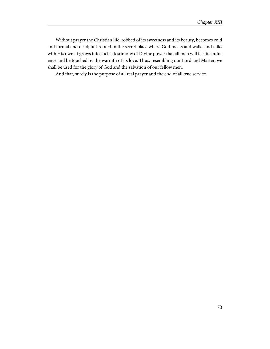Without prayer the Christian life, robbed of its sweetness and its beauty, becomes cold and formal and dead; but rooted in the secret place where God meets and walks and talks with His own, it grows into such a testimony of Divine power that all men will feel its influence and be touched by the warmth of its love. Thus, resembling our Lord and Master, we shall be used for the glory of God and the salvation of our fellow men.

And that, surely is the purpose of all real prayer and the end of all true service.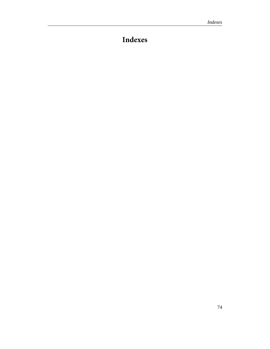## **Indexes**